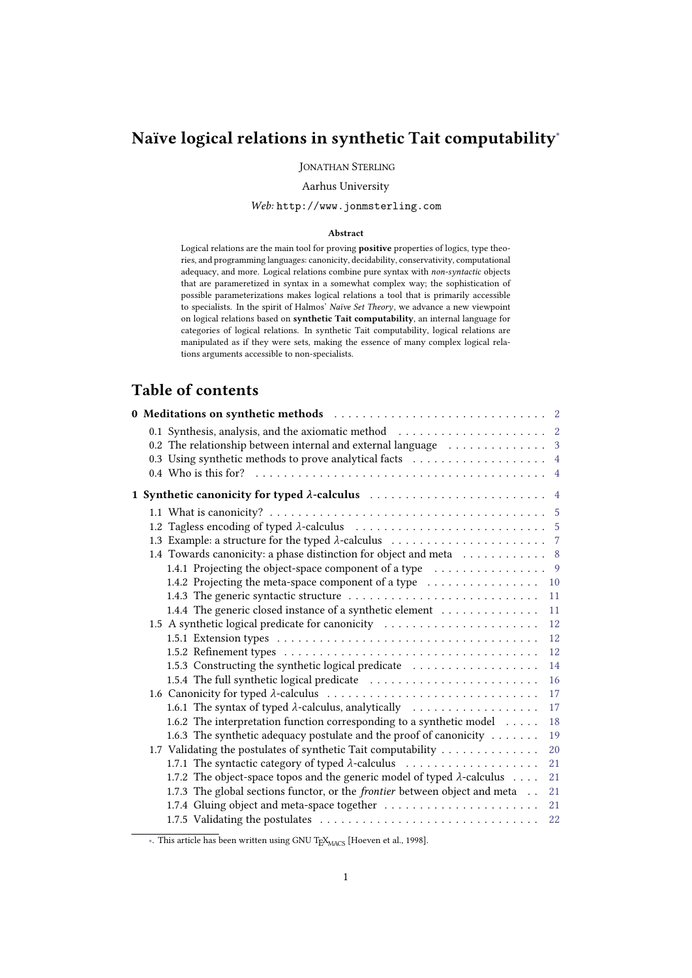# Naïve logical relations in synthetic Tait computability ∗

JONATHAN STERLING

#### Aarhus University

### *Web:* http://www.jonmsterling.com

#### Abstract

Logical relations are the main tool for proving positive properties of logics, type theo ries, and programming languages: canonicity, decidability, conservativity, computational adequacy, and more. Logical relations combine pure syntax with *non-syntactic* objects that are parameretized in syntax in a somewhat complex way; the sophistication of possible parameterizations makes logical relations a tool that is primarily accessible to specialists. In the spirit of Halmos' *Naïve Set Theory*, we advance a new viewpoint on logical relations based on synthetic Tait computability, an internal language for categories of logical relations. In synthetic Tait computability, logical relations are manipulated as if they were sets, making the essence of many complex logical relations arguments accessible to non-specialists.

# Table of contents

| 0 Meditations on synthetic methods in the subset of Meditations on synthetic methods in the subset of Meditation |  |
|------------------------------------------------------------------------------------------------------------------|--|
|                                                                                                                  |  |
| 0.2 The relationship between internal and external language $\ldots \ldots \ldots \ldots$                        |  |
| 0.3 Using synthetic methods to prove analytical facts 4                                                          |  |
|                                                                                                                  |  |
|                                                                                                                  |  |
|                                                                                                                  |  |
|                                                                                                                  |  |
|                                                                                                                  |  |
| 1.4 Towards canonicity: a phase distinction for object and meta  8                                               |  |
| 1.4.1 Projecting the object-space component of a type $\dots \dots \dots \dots \dots$                            |  |
|                                                                                                                  |  |
| 11                                                                                                               |  |
| 1.4.4 The generic closed instance of a synthetic element<br>11                                                   |  |
| 1.5 A synthetic logical predicate for canonicity<br>12                                                           |  |
| 12                                                                                                               |  |
| 12                                                                                                               |  |
| 1.5.3 Constructing the synthetic logical predicate<br>14                                                         |  |
| 16                                                                                                               |  |
| 17                                                                                                               |  |
| 17                                                                                                               |  |
| 1.6.2 The interpretation function corresponding to a synthetic model<br>18                                       |  |
| 1.6.3 The synthetic adequacy postulate and the proof of canonicity<br>19                                         |  |
| 1.7 Validating the postulates of synthetic Tait computability<br>20                                              |  |
| 21                                                                                                               |  |
| 1.7.2 The object-space topos and the generic model of typed $\lambda$ -calculus<br>21                            |  |
| 1.7.3 The global sections functor, or the <i>frontier</i> between object and meta<br>21                          |  |
| 21                                                                                                               |  |
| 22                                                                                                               |  |

∗. This article has been written using GNU T<sub>E</sub>X<sub>MACS</sub> [\[Hoeven](#page-22-0) [et](#page-22-0) [al.,](#page-22-0) [1998\]](#page-22-0).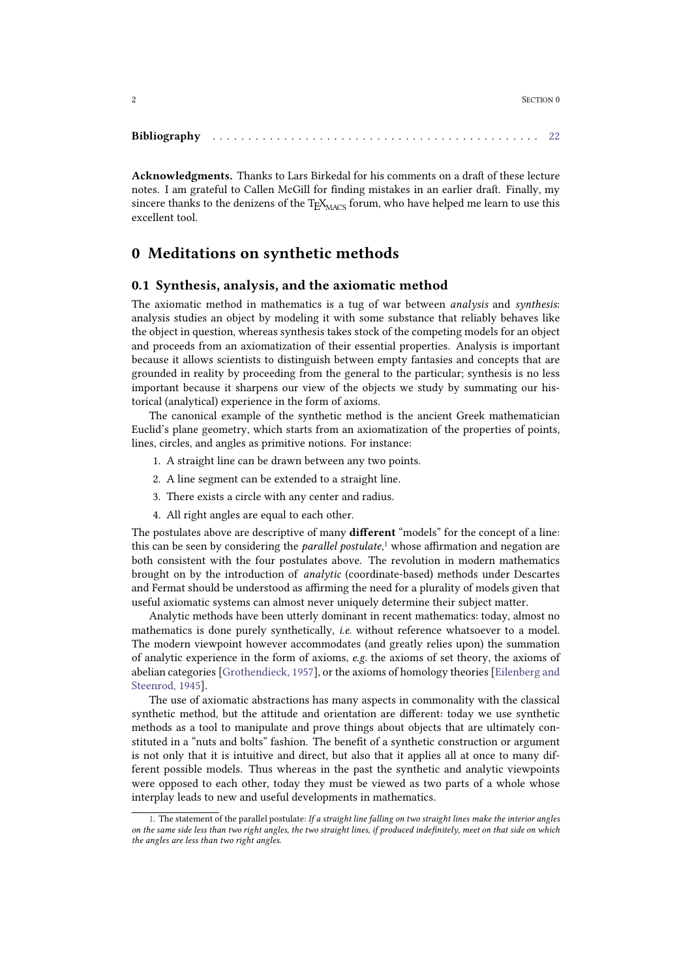| <b>Bibliography</b> |  |  |
|---------------------|--|--|
|---------------------|--|--|

Acknowledgments. Thanks to Lars Birkedal for his comments on a draft of these lecture notes. I am grateful to Callen McGill for finding mistakes in an earlier draft. Finally, my sincere thanks to the denizens of the  $\text{TeX}_{\text{MACS}}$  forum, who have helped me learn to use this excellent tool.

# <span id="page-1-0"></span>0 Meditations on synthetic methods

### <span id="page-1-1"></span>0.1 Synthesis, analysis, and the axiomatic method

The axiomatic method in mathematics is a tug of war between *analysis* and *synthesis*: analysis studies an object by modeling it with some substance that reliably behaves like the object in question, whereas synthesis takes stock of the competing models for an object and proceeds from an axiomatization of their essential properties. Analysis is important because it allows scientists to distinguish between empty fantasies and concepts that are grounded in reality by proceeding from the general to the particular; synthesis is no less important because it sharpens our view of the objects we study by summating our historical (analytical) experience in the form of axioms.

The canonical example of the synthetic method is the ancient Greek mathematician Euclid's plane geometry, which starts from an axiomatization of the properties of points, lines, circles, and angles as primitive notions. For instance:

- 1. A straight line can be drawn between any two points.
- 2. A line segment can be extended to a straight line.
- 3. There exists a circle with any center and radius.
- <span id="page-1-2"></span>4. All right angles are equal to each other.

The postulates above are descriptive of many different "models" for the concept of a line: this can be seen by considering the *parallel postulate*,<sup>1</sup> whose affirmation and negation are both consistent with the four postulates above. The revolution in modern mathematics brought on by the introduction of *analytic* (coordinate-based) methods under Descartes and Fermat should be understood as affirming the need for a plurality of models given that useful axiomatic systems can almost never uniquely determine their subject matter.

Analytic methods have been utterly dominant in recent mathematics: today, almost no mathematics is done purely synthetically, *i.e.* without reference whatsoever to a model. The modern viewpoint however accommodates (and greatly relies upon) the summation of analytic experience in the form of axioms, *e.g.* the axioms of set theory, the axioms of abelian categories [\[Grothendieck,](#page-22-1) [1957\]](#page-22-1), or the axioms of homology theories [\[Eilenberg](#page-22-2) [and](#page-22-2) [Steenrod,](#page-22-2) [1945\]](#page-22-2).

The use of axiomatic abstractions has many aspects in commonality with the classical synthetic method, but the attitude and orientation are different: today we use synthetic methods as a tool to manipulate and prove things about objects that are ultimately con stituted in a "nuts and bolts" fashion. The benefit of a synthetic construction or argument is not only that it is intuitive and direct, but also that it applies all at once to many different possible models. Thus whereas in the past the synthetic and analytic viewpoints were opposed to each other, today they must be viewed as two parts of a whole whose interplay leads to new and useful developments in mathematics.

[<sup>1.</sup>](#page-1-2) The statement of the parallel postulate: *If a straight line falling on two straight lines make the interior angles* on the same side less than two right angles, the two straight lines, if produced indefinitely, meet on that side on which *the angles are less than two right angles.*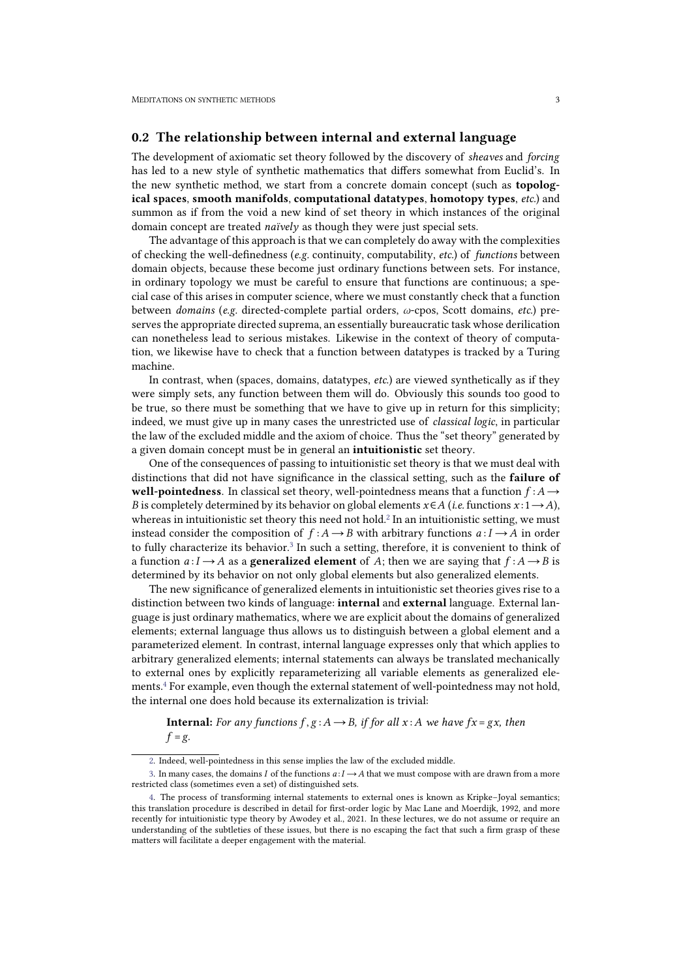### <span id="page-2-0"></span>0.2 The relationship between internal and external language

The development of axiomatic set theory followed by the discovery of *sheaves* and *forcing* has led to a new style of synthetic mathematics that differs somewhat from Euclid's. In the new synthetic method, we start from a concrete domain concept (such as topological spaces, smooth manifolds, computational datatypes, homotopy types, *etc.*) and summon asif from the void a new kind of set theory in which instances of the original domain concept are treated *naïvely* as though they were just special sets.

The advantage of this approach is that we can completely do away with the complexities of checking the well-definedness (*e.g.* continuity, computability, *etc.*) of *functions* between domain objects, because these become just ordinary functions between sets. For instance, in ordinary topology we must be careful to ensure that functions are continuous; a spe cial case ofthis arises in computer science, where we must constantly check that a function between *domains* (*e.g.* directed-complete partial orders, *ω*-cpos, Scott domains, *etc.*) pre serves the appropriate directed suprema, an essentially bureaucratic task whose derilication can nonetheless lead to serious mistakes. Likewise in the context of theory of computation, we likewise have to check that a function between datatypes is tracked by a Turing machine.

In contrast, when (spaces, domains, datatypes, *etc.*) are viewed synthetically as if they were simply sets, any function between them will do. Obviously this sounds too good to be true, so there must be something that we have to give up in return for this simplicity; indeed, we must give up in many cases the unrestricted use of *classical logic*, in particular the law of the excluded middle and the axiom of choice. Thus the "set theory" generated by a given domain concept must be in general an intuitionistic set theory.

<span id="page-2-1"></span>One of the consequences of passing to intuitionistic set theory is that we must deal with distinctions that did not have significance in the classical setting, such as the **failure of** well-pointedness. In classical set theory, well-pointedness means that a function  $f : A \rightarrow$ *B* is completely determined by its behavior on global elements  $x \in A$  (*i.e.* functions  $x: 1 \rightarrow A$ ), whereas in intuitionistic set theory this need not hold.<sup>2</sup> In an intuitionistic setting, we must instead consider the composition of  $f : A \rightarrow B$  with arbitrary functions  $a : I \rightarrow A$  in order to fully characterize its behavior.<sup>3</sup> In such a setting, therefore, it is convenient to think of a function  $a: I \rightarrow A$  as a **generalized element** of *A*; then we are saying that  $f: A \rightarrow B$  is determined by its behavior on not only global elements but also generalized elements.

<span id="page-2-2"></span>The new significance of generalized elements in intuitionistic set theories gives rise to a distinction between two kinds of language: internal and external language. External language is just ordinary mathematics, where we are explicit about the domains of generalized elements; external language thus allows us to distinguish between a global element and a parameterized element. In contrast, internal language expresses only that which applies to arbitrary generalized elements; internal statements can always be translated mechanically to external ones by explicitly reparameterizing all variable elements as generalized ele ments.<sup>4</sup> For example, even though the external statement of well-pointedness may not hold, the internal one does hold because its externalization is trivial:

<span id="page-2-3"></span>**Internal:** For any functions  $f, g: A \rightarrow B$ , if for all  $x: A$  we have  $fx = gx$ , then  $f = g$ .

[<sup>2.</sup>](#page-2-1) Indeed, well-pointedness in this sense implies the law of the excluded middle.

[<sup>3.</sup>](#page-2-2) In many cases, the domains *I* of the functions  $a: I \rightarrow A$  that we must compose with are drawn from a more restricted class (sometimes even a set) of distinguished sets.<br>[4.](#page-2-3) The process of transforming internal statements to external ones is known as Kripke–Joyal semantics;

this translation procedure is described in detail for first-order logic by Mac Lane and Moerdijk, 1992, and more recently for intuitionistic type theory by Awodey et al., 2021. In these lectures, we do not assume or require an understanding of the subtleties of these issues, but there is no escaping the fact that such a firm grasp of these matters will facilitate a deeper engagement with the material.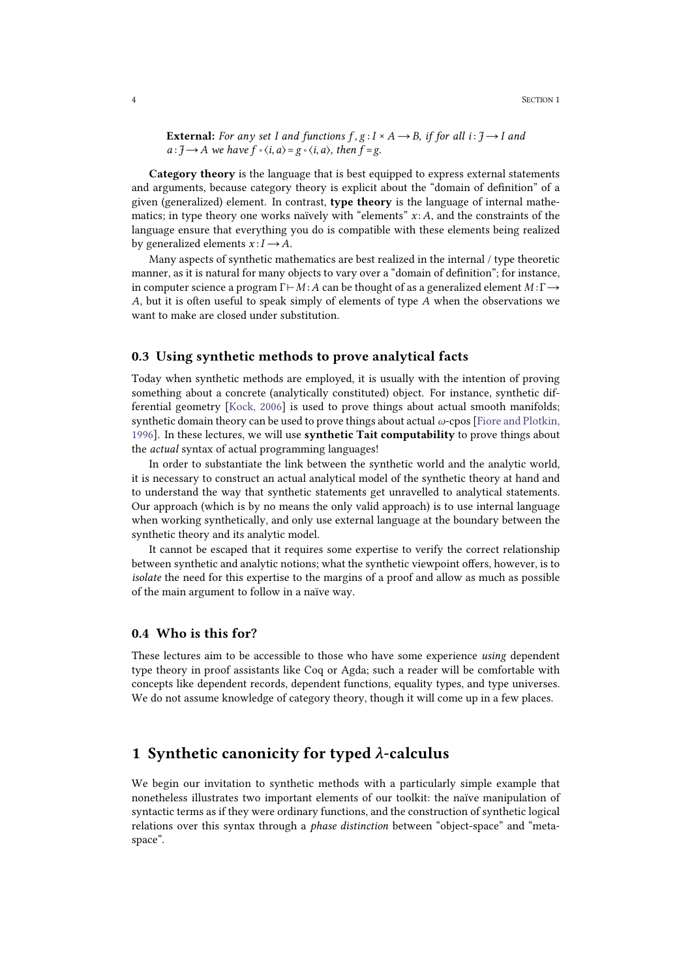**External:** For any set I and functions  $f, g: I \times A \rightarrow B$ , if for all  $i: \mathcal{J} \rightarrow I$  and *a* : *J* → *A we have*  $f \circ \langle i, a \rangle = g \circ \langle i, a \rangle$ , *then*  $f = g$ .

Category theory is the language that is best equipped to express external statements and arguments, because category theory is explicit about the "domain of definition" of a given (generalized) element. In contrast, type theory is the language of internal mathe matics; in type theory one works naïvely with "elements" *x* :*A*, and the constraints of the language ensure that everything you do is compatible with these elements being realized by generalized elements  $x: I \rightarrow A$ .

Many aspects of synthetic mathematics are best realized in the internal / type theoretic manner, as it is natural for many objects to vary over a "domain of definition"; for instance, in computer science a program Γ⊢*M* :*A* can be thought of as a generalized element *M* :Γ→ *A*, but it is often useful to speak simply of elements of type *A* when the observations we want to make are closed under substitution.

### <span id="page-3-0"></span>0.3 Using synthetic methods to prove analytical facts

Today when synthetic methods are employed, it is usually with the intention of proving something about a concrete (analytically constituted) object. For instance, synthetic differential geometry [\[Kock,](#page-22-3) [2006\]](#page-22-3) is used to prove things about actual smooth manifolds; synthetic domain theory can be used to prove things about actual *ω*-cpos [\[Fiore](#page-22-4) [and](#page-22-4) [Plotkin,](#page-22-4) [1996\]](#page-22-4). In these lectures, we will use **synthetic Tait computability** to prove things about the *actual* syntax of actual programming languages!

In order to substantiate the link between the synthetic world and the analytic world, it is necessary to construct an actual analytical model of the synthetic theory at hand and to understand the way that synthetic statements get unravelled to analytical statements. Our approach (which is by no means the only valid approach) is to use internal language when working synthetically, and only use external language at the boundary between the synthetic theory and its analytic model.

It cannot be escaped that it requires some expertise to verify the correct relationship between synthetic and analytic notions; what the synthetic viewpoint offers, however, is to *isolate* the need for this expertise to the margins of a proof and allow as much as possible of the main argument to follow in anaïve way.

### <span id="page-3-1"></span>0.4 Who is this for?

These lectures aim to be accessible to those who have some experience *using* dependent type theory in proof assistants like Coq or Agda; such a reader will be comfortable with concepts like dependent records, dependent functions, equality types, and type universes. We do not assume knowledge of category theory, though it will come up in a few places.

# <span id="page-3-2"></span>1 Synthetic canonicity for typed *λ*-calculus

We begin our invitation to synthetic methods with a particularly simple example that nonetheless illustrates two important elements of our toolkit: the naïve manipulation of syntactic terms as if they were ordinary functions, and the construction of synthetic logical relations over this syntax through a *phase distinction* between "object-space" and "meta space".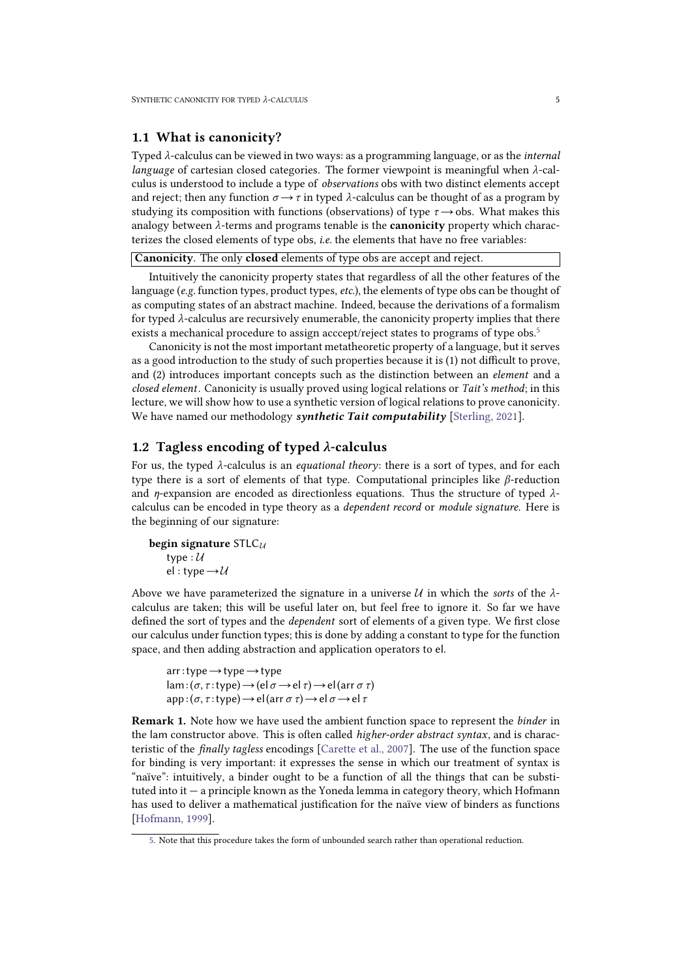### <span id="page-4-3"></span><span id="page-4-0"></span>1.1 What is canonicity?

Typed *λ*-calculus can be viewed in two ways: as a programming language, or as the *internal language* of cartesian closed categories. The former viewpoint is meaningful when *λ*-cal culus is understood to include a type of *observations* obs with two distinct elements accept and reject; then any function  $\sigma \rightarrow \tau$  in typed  $\lambda$ -calculus can be thought of as a program by studying its composition with functions (observations) of type  $\tau \rightarrow \text{obs}$ . What makes this analogy between  $\lambda$ -terms and programs tenable is the **canonicity** property which characterizes the closed elements of type obs, *i.e.* the elements that have no free variables:

Canonicity. The only closed elements of type obs are accept and reject.

Intuitively the canonicity property states that regardless of all the other features of the language (*e.g.* function types, product types, *etc.*), the elements of type obs can be thought of as computing states of an abstract machine. Indeed, because the derivations of a formalism for typed  $\lambda$ -calculus are recursively enumerable, the canonicity property implies that there exists a mechanical procedure to assign acccept/reject states to programs of type obs.<sup>5</sup>

<span id="page-4-2"></span>Canonicity is not the most important metatheoretic property of a language, but it serves as a good introduction to the study of such properties because it is (1) not difficult to prove, and (2) introduces important concepts such as the distinction between an *element* and a *closed element*. Canonicity is usually proved using logical relations or *Tait's method*; in this lecture, we will show how to use a synthetic version of logical relations to prove canonicity. We have named our methodology *synthetic Tait computability* [\[Sterling,](#page-22-5) [2021\]](#page-22-5).

### <span id="page-4-1"></span>1.2 Tagless encoding of typed *λ*-calculus

For us, the typed *λ*-calculus is an *equational theory*: there is a sort of types, and for each type there is a sort of elements of that type. Computational principles like *β*-reduction and *η*-expansion are encoded as directionless equations. Thus the structure of typed *λ* calculus can be encoded in type theory as a *dependent record* or *module signature*. Here is the beginning of our signature:

```
begin signature STLCU
    type : U
    el : type \rightarrow \mathcal{U}
```
Above we have parameterized the signature in a universe  $U$  in which the *sorts* of the  $\lambda$ -calculus are taken; this will be useful later on, but feel free to ignore it. So far we have defined the sort of types and the *dependent* sort of elements of a given type. We first close our calculus under function types; this is done by adding a constant to type for the function space, and then adding abstraction and application operators to el.

```
arr:type \rightarrow type \rightarrow typelam:(σ, τ :type)→(elσ →el τ)→el(arr σ τ) app: (\sigma, \tau : type) \rightarrow el \left( \arctan \sigma \tau \right) \rightarrow el \sigma \rightarrow el \tau
```
Remark 1. Note how we have used the ambient function space to represent the *binder* in the lam constructor above. This is often called *higher-order abstract syntax*, and is characteristic of the *finally tagless* encodings [\[Carette](#page-21-2) [et](#page-21-2) [al.,](#page-21-2) [2007\]](#page-21-2). The use of the function space for binding is very important: it expresses the sense in which our treatment of syntax is "naïve": intuitively, a binder ought to be a function of all the things that can be substituted into it  $-$  a principle known as the Yoneda lemma in category theory, which Hofmann has used to deliver a mathematical justification for the naïve view of binders as functions [\[Hofmann,](#page-22-6) [1999\]](#page-22-6).

[<sup>5.</sup>](#page-4-2) Note that this procedure takes the form of unbounded search rather than operational reduction.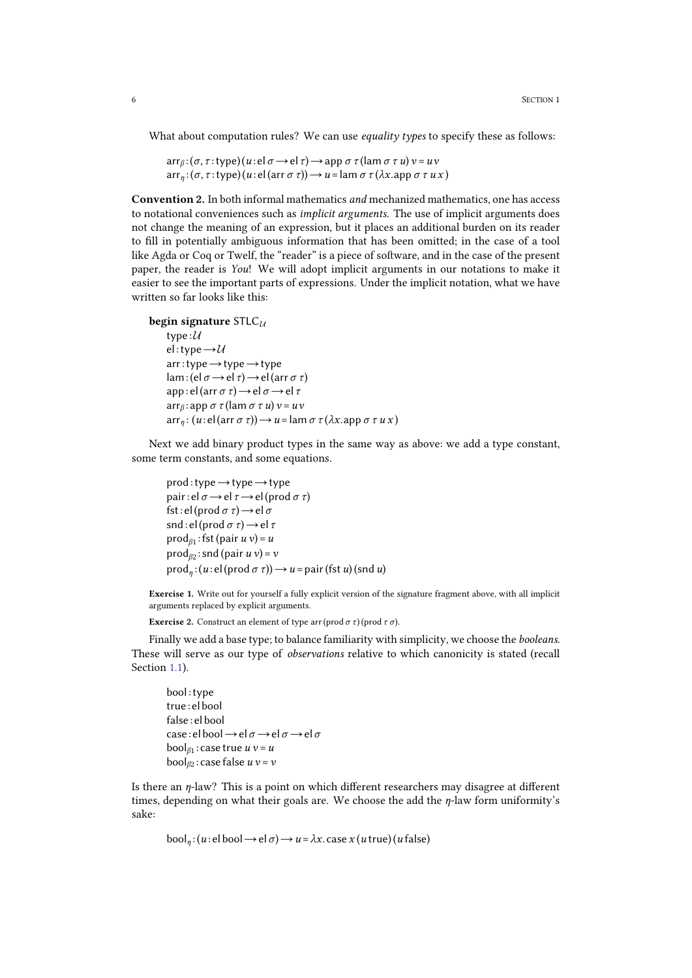What about computation rules? We can use *equality types* to specify these as follows:

 $\arctan(\sigma, \tau \cdot \text{type})$  $(u \cdot \text{el } \sigma \rightarrow \text{el } \tau) \rightarrow \text{app } \sigma \tau$  $(l \text{am } \sigma \tau u) v = uv$  $\arctan(\sigma, \tau \cdot \text{type})$  $(u \cdot \text{el}(\arctan \sigma \tau)) \rightarrow u = \text{lam } \sigma \tau (\lambda x.\text{app } \sigma \tau u x)$ 

Convention 2. In both informal mathematics *and* mechanized mathematics, one has access to notational conveniences such as*implicit arguments*. The use of implicit arguments does not change the meaning of an expression, but it places an additional burden on its reader to fill in potentially ambiguous information that has been omitted; in the case of a tool like Agda or Coq or Twelf, the "reader" is a piece of software, and in the case of the present paper, the reader is *You*! We will adopt implicit arguments in our notations to make it easier to see the important parts of expressions. Under the implicit notation, what we have written so far looks like this:

```
begin signature STLCU
         type :U
         el :type→U
         arr:type→type→type
         lam:(el σ →el τ)→el(arr σ τ) app : el(arr σ τ)→el σ →el τ arrβ : app σ τ (lam σ τ u) v =uv \arctan(x) = u \cdot \arctan(x) + u = \arctan(x) \cdot \arctan(x) + \arctan(x) + \arctan(x) + \arctan(x) + \arctan(x) + \arctan(x) + \arctan(x) + \arctan(x) + \arctan(x) + \arctan(x) + \arctan(x) + \arctan(x) + \arctan(x) + \arctan(x) + \arctan(x) + \arctan(x) + \arctan(x) + \arctan(x) + \arctan(x) + \arctan(x) + \arctan(x) + \arctan(x) + \arctan(x) + \arctan(x) + \arctan(x) + \arctan(x) + \arctan(x) + \arctan
```
Next we add binary product types in the same way as above: we add a type constant, some term constants, and some equations.

```
prod:type→type→type pair: el \sigma \rightarrowel \tau \rightarrowel (prod \sigma \tau)
fst: el(prod \sigma \tau) \rightarrow el\sigmasnd: el(prod \sigma \tau) \rightarrow el \tauprodβ1
:fst(pair u v)=u \operatorname{prod}_{\beta 2}: snd (pair u v) = vprodη
:(u : el(prod σ τ))→u =pair(fst u) (snd u)
```
Exercise 1. Write out for yourself a fully explicit version of the signature fragment above, with all implicit arguments replaced by explicit arguments.

```
Exercise 2. Construct an element of type arr (prod σ τ)(prod τ σ).
```
Finally we add a base type; to balance familiarity with simplicity, we choose the *booleans*. These will serve as our type of *observations* relative to which canonicity is stated (recall Section [1.1\)](#page-4-3).

bool :type true : el bool false : el bool case : el bool→el*σ* →el *σ* →el*σ*  $\text{bool}_{\beta_1}$ : case true  $u v = u$ bool*β*<sup>2</sup> : case false *u v* =*v*

Is there an *η*-law? This is a point on which different researchers may disagree at different times, depending on what their goals are. We choose the add the *η*-law form uniformity's sake:

 $bool<sub>n</sub>$  : (*u* : el bool → el σ) → *u* =  $λx$ . case *x* (*u* true)(*u* false)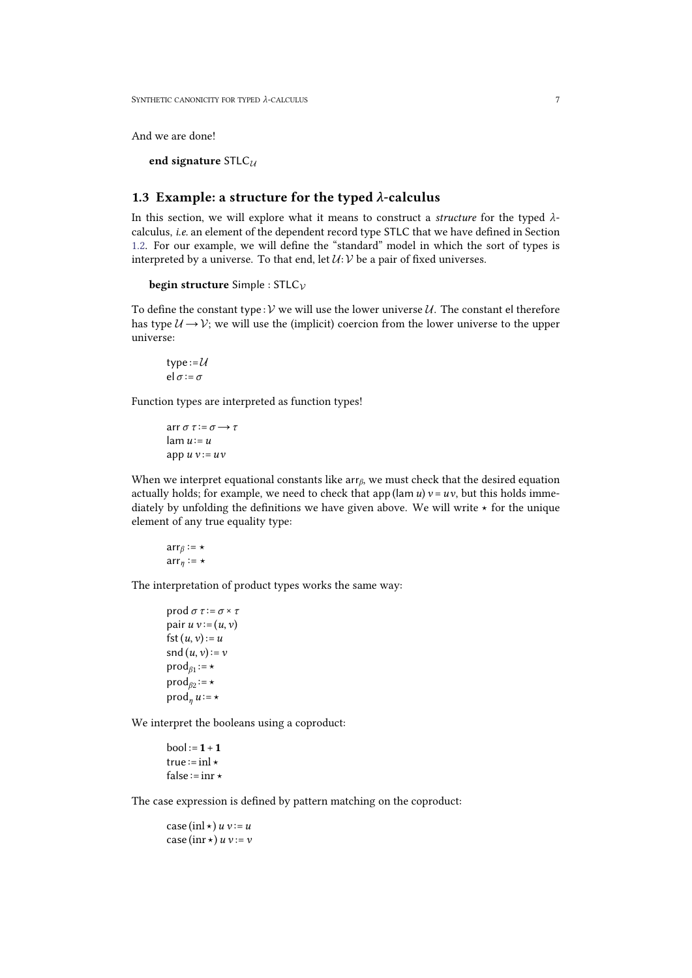And we are done!

end signature STLC*<sup>U</sup>*

## <span id="page-6-0"></span>1.3 Example: a structure for the typed *λ*-calculus

In this section, we will explore what it means to construct a *structure* for the typed *λ* calculus, *i.e.* an element of the dependent record type STLC that we have defined in Section [1.2.](#page-4-4) For our example, we will define the "standard" model in which the sort of types is interpreted by a universe. To that end, let  $U:V$  be a pair of fixed universes.

```
begin structure Simple : STLCV
```
To define the constant type : *V* we will use the lower universe *U*. The constant el therefore has type  $U \rightarrow V$ ; we will use the (implicit) coercion from the lower universe to the upper universe:

type: $=\mathcal{U}$ el *σ* :=*σ*

Function types are interpreted as function types!

arr *σ τ* :=*σ* →*τ*  $l$ am  $u := u$ app  $u v := uv$ 

When we interpret equational constants like arr*β*, we must check that the desired equation actually holds; for example, we need to check that app (lam  $u$ )  $v = uv$ , but this holds immediately by unfolding the definitions we have given above. We will write  $\star$  for the unique element of any true equality type:

$$
arr_{\beta} := \star
$$

$$
arr_{\eta} := \star
$$

The interpretation of product types works the same way:

```
prod σ τ :=σ ×τ pair u v := (u, v)fst(u, v) := usnd (u, v) := vprodβ1
:=⋆
\text{prod}_{\beta 2} := \star\text{prod}_n u := \star
```
We interpret the booleans using a coproduct:

 $bool := 1 + 1$ true  $:=$ inl  $\star$ false := inr  $\star$ 

The case expression is defined by pattern matching on the coproduct:

 $\case(\text{inl} \star) u v := u$  $\case(\text{inr} \star) u v := v$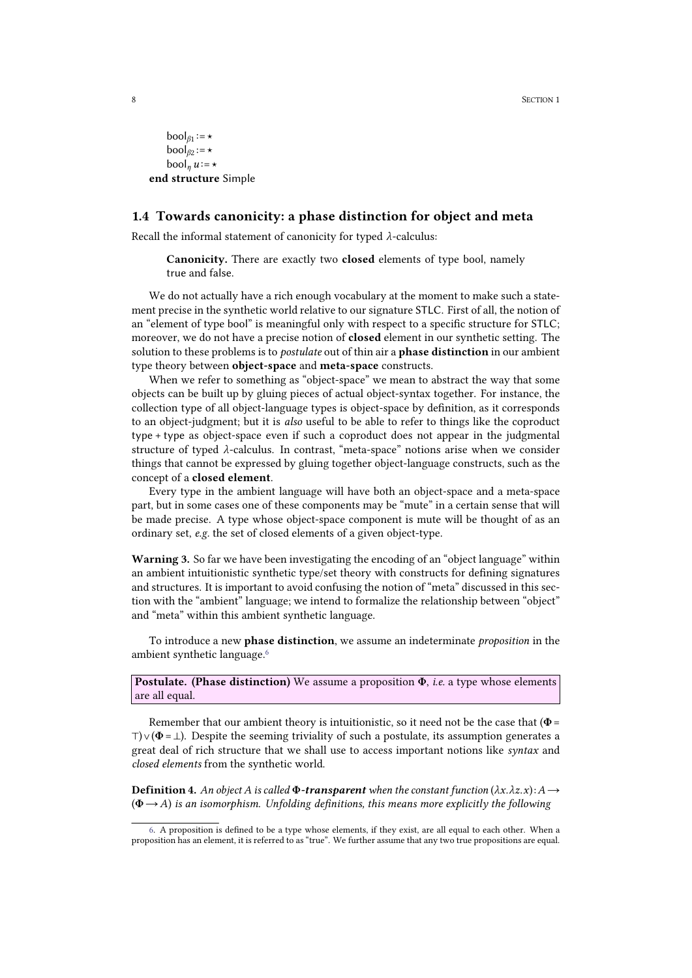```
\text{bool}_{\beta_1} := \star\text{bool}_{\beta 2} := \star\text{bool}_n u := \starend structure Simple
```
### <span id="page-7-0"></span>1.4 Towards canonicity: a phase distinction for object and meta

Recall the informal statement of canonicity for typed *λ*-calculus:

Canonicity. There are exactly two closed elements of type bool, namely true and false.

We do not actually have a rich enough vocabulary at the moment to make such a statement precise in the synthetic world relative to our signature STLC. First of all, the notion of an "element of type bool" is meaningful only with respect to a specific structure for STLC; moreover, we do not have a precise notion of closed element in our synthetic setting. The solution to these problems is to *postulate* out of thin air a phase distinction in our ambient type theory between object-space and meta-space constructs.

When we refer to something as "object-space" we mean to abstract the way that some objects can be built up by gluing pieces of actual object-syntax together. For instance, the collection type of all object-language types is object-space by definition, as it corresponds to an object-judgment; but it is *also* useful to be able to refer to things like the coproduct type + type as object-space even if such a coproduct does not appear in the judgmental structure of typed *λ*-calculus. In contrast, "meta-space" notions arise when we consider things that cannot be expressed by gluing together object-language constructs, such asthe concept of a closed element.

Every type in the ambient language will have both an object-space and a meta-space part, but in some cases one of these components may be "mute" in a certain sense that will be made precise. A type whose object-space component is mute will be thought of as an ordinary set, *e.g.* the set of closed elements of a given object-type.

Warning 3. So far we have been investigating the encoding of an "object language" within an ambient intuitionistic synthetic type/set theory with constructs for defining signatures and structures. It is important to avoid confusing the notion of "meta" discussed in this section with the "ambient" language; we intend to formalize the relationship between "object" and "meta" within this ambient synthetic language.

<span id="page-7-1"></span>To introduce a new phase distinction, we assume an indeterminate *proposition* in the ambient synthetic language.<sup>6</sup>

Postulate. (Phase distinction) We assume a proposition Φ, *i.e.* a type whose elements are all equal.

Remember that our ambient theory is intuitionistic, so it need not be the case that ( $\Phi$  =  $\top$ )  $\vee$  ( $\Phi$  =  $\perp$ ). Despite the seeming triviality of such a postulate, its assumption generates a great deal of rich structure that we shall use to access important notions like *syntax* and *closed elements* from the synthetic world.

<span id="page-7-2"></span>**Definition 4.** An object A is called  $\Phi$ -transparent when the constant function  $(\lambda x.\lambda z.x):A\rightarrow$ (Φ→*A*) *is an isomorphism. Unfolding definitions, this means more explicitly the following*

[<sup>6.</sup>](#page-7-1) A proposition is defined to be a type whose elements, if they exist, are all equal to each other. When a proposition has an element, it is referred to as "true". We further assume that any two true propositions are equal.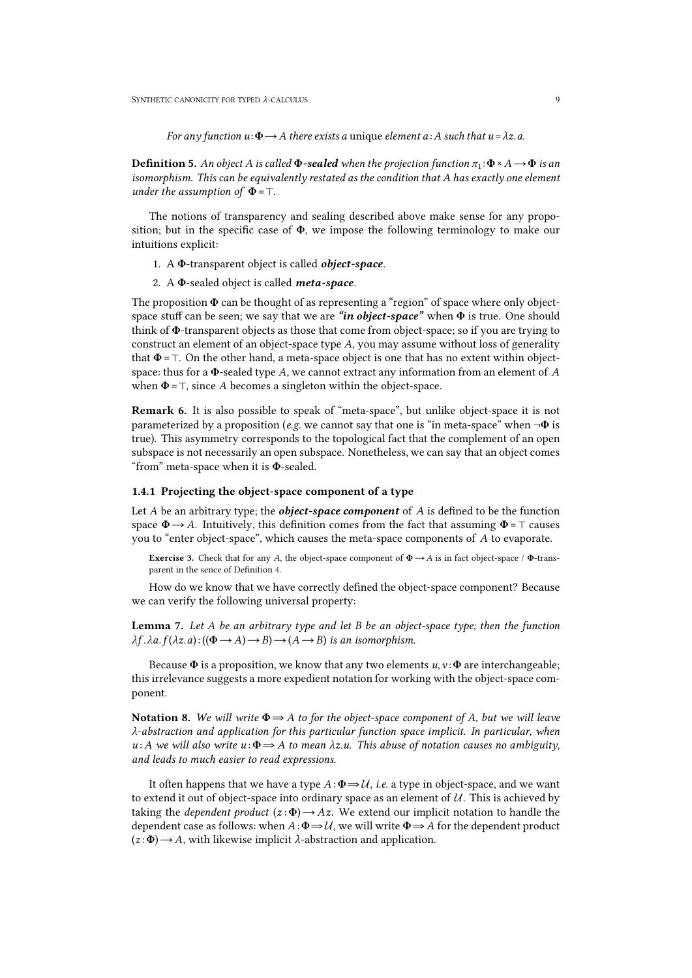<span id="page-8-1"></span>*For any function*  $u: \Phi \rightarrow A$  *there exists a* unique *element*  $a:A$  *such that*  $u = \lambda z$ .*a.* 

**Definition 5.** An object A is called  $\Phi$ -sealed when the projection function  $\pi_1: \Phi \times A \rightarrow \Phi$  is an *isomorphism. This can be equivalently restated asthe condition that A has exactly one element under the assumption of*  $\Phi = \top$ *.* 

The notions of transparency and sealing described above make sense for any propo sition; but in the specific case of  $\Phi$ , we impose the following terminology to make our intuitions explicit:

- 1. A Φ-transparent object is called *object-space*.
- 2. A Φ-sealed object is called *meta-space*.

The proposition  $\Phi$  can be thought of as representing a "region" of space where only objectspace stuff can be seen; we say that we are *"in object-space"* when Φ is true. One should think of Φ-transparent objects as those that come from object-space; so if you are trying to construct an element of an object-space type *A*, you may assume without loss of generality that  $\Phi = \top$ . On the other hand, a meta-space object is one that has no extent within objectspace: thus for a Φ-sealed type *A*, we cannot extract any information from an element of *A* when Φ=⊤, since *A* becomes a singleton within the object-space.

Remark 6. It is also possible to speak of "meta-space", but unlike object-space it is not parameterized by a proposition (*e.g.* we cannot say that one is "in meta-space" when ¬Φ is true). This asymmetry corresponds to the topological fact that the complement of an open subspace is not necessarily an open subspace. Nonetheless, we can say that an object comes "from" meta-space when it is Φ-sealed.

### <span id="page-8-0"></span>1.4.1 Projecting the object-space component of a type

Let *A* be an arbitrary type; the *object-space component* of *A* is defined to be the function space  $\Phi \rightarrow A$ . Intuitively, this definition comes from the fact that assuming  $\Phi = \top$  causes you to "enter object-space", which causes the meta-space components of *A* to evaporate.

**Exercise 3.** Check that for any *A*, the object-space component of  $\Phi \rightarrow A$  is in fact object-space /  $\Phi$ -trans-parent in the sence of Definition [4.](#page-7-2)

How do we know that we have correctly defined the object-space component? Because we can verify the following universal property:

Lemma 7. *Let A be an arbitrary type and letB bean object-space type; then the function*  $\lambda f \cdot \lambda a \cdot f(\lambda z \cdot a) \cdot ((\Phi \rightarrow A) \rightarrow B) \rightarrow (A \rightarrow B)$  *is an isomorphism.* 

Because  $\Phi$  is a proposition, we know that any two elements  $u, v : \Phi$  are interchangeable; this irrelevance suggests a more expedient notation for working with the object-space com ponent.

Notation 8. We will write  $\Phi \Rightarrow A$  to for the object-space component of A, but we will leave *λ-abstraction and application for this particular function space implicit. In particular, when*  $u: A$  we will also write  $u: \Phi \to A$  to mean  $\lambda z.u$ . This abuse of notation causes no ambiguity, *and leads to much easier to read expressions.*

It often happens that we have a type  $A : \Phi \to \mathcal{U}$ , *i.e.* a type in object-space, and we want to extend it out of object-space into ordinary space as an element of  $U$ . This is achieved by taking the *dependent product*  $(z:\Phi) \rightarrow Az$ . We extend our implicit notation to handle the dependent case as follows: when  $A: \Phi \to U$ , we will write  $\Phi \to A$  for the dependent product  $(z:\Phi) \rightarrow A$ , with likewise implicit  $\lambda$ -abstraction and application.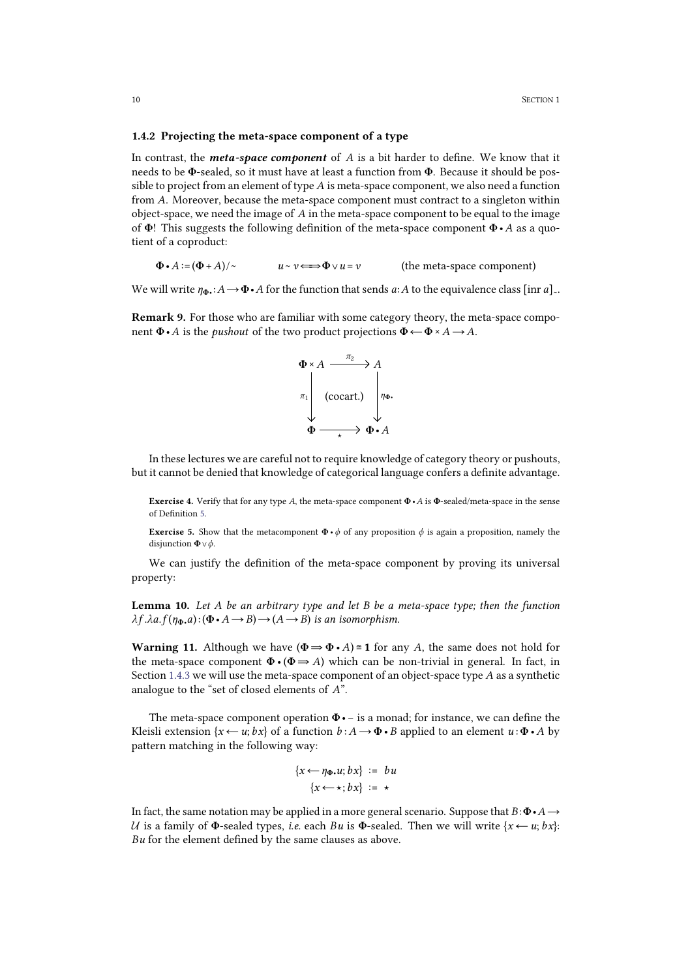#### <span id="page-9-0"></span>1.4.2 Projecting the meta-space component of a type

In contrast, the *meta-space component* of *A* is a bit harder to define. We know that it needs to be Φ-sealed, so it must have at least a function from Φ. Because it should be pos sible to project from an element of type *A* is meta-space component, we also need a function from *A*. Moreover, because the meta-space component must contract to a singleton within object-space, we need the image of*A* in the meta-space component to be equal to the image of Φ! This suggests the following definition of the meta-space component Φ•*A* as a quotient of a coproduct:

 $\Phi \cdot A := (\Phi + A)/\sim$  *u* ∼ *v*  $\Longleftrightarrow$   $\Phi \vee u = v$  (the meta-space component)

We will write  $\eta_{\Phi}$ : *A* →  $\Phi$ •*A* for the function that sends *a*:*A* to the equivalence class [inr *a*]∼.

Remark 9. For those who are familiar with some category theory, the meta-space compo nent  $\Phi \cdot A$  is the *pushout* of the two product projections  $\Phi \leftarrow \Phi \times A \rightarrow A$ .



In these lectures we are careful not to require knowledge of category theory or pushouts, but it cannot be denied that knowledge of categorical language confers a definite advantage.

Exercise 4. Verify that for any type *A*, the meta-space component Φ•*A* is Φ-sealed/meta-space in the sense of Definition [5.](#page-8-1)

**Exercise 5.** Show that the metacomponent  $\Phi \cdot \phi$  of any proposition  $\phi$  is again a proposition, namely the disjunction Φ∨*ϕ*.

We can justify the definition of the meta-space component by proving its universal property:

<span id="page-9-1"></span>Lemma 10. *Let A be an arbitrary type and let B be a meta-space type; then the function*  $\lambda f.\lambda a.f(\eta_{\Phi}.a):(\Phi \cdot A \rightarrow B) \rightarrow (A \rightarrow B)$  *is an isomorphism.* 

**Warning 11.** Although we have  $(\Phi \Rightarrow \Phi \cdot A) \cong 1$  for any *A*, the same does not hold for the meta-space component  $\Phi \cdot (\Phi \Rightarrow A)$  which can be non-trivial in general. In fact, in Section [1.4.3](#page-10-2) we will use the meta-space component of an object-space type *A* as a synthetic analogue to the "set of closed elements of *A*".

The meta-space component operation  $\Phi \cdot -$  is a monad; for instance, we can define the Kleisli extension  $\{x \leftarrow u; bx\}$  of a function  $b: A \rightarrow \Phi \cdot B$  applied to an element  $u: \Phi \cdot A$  by pattern matching in the following way:

$$
\{x \leftarrow \eta_{\Phi}.u; bx\} := bu
$$

$$
\{x \leftarrow \star; bx\} := \star
$$

In fact, the same notation may be applied in a more general scenario. Suppose that  $B: \Phi \cdot A \rightarrow$ *U* is a family of  $\Phi$ -sealed types, *i.e.* each *Bu* is  $\Phi$ -sealed. Then we will write {*x* ← *u*; *bx*}: *Bu* for the element defined by the same clauses as above.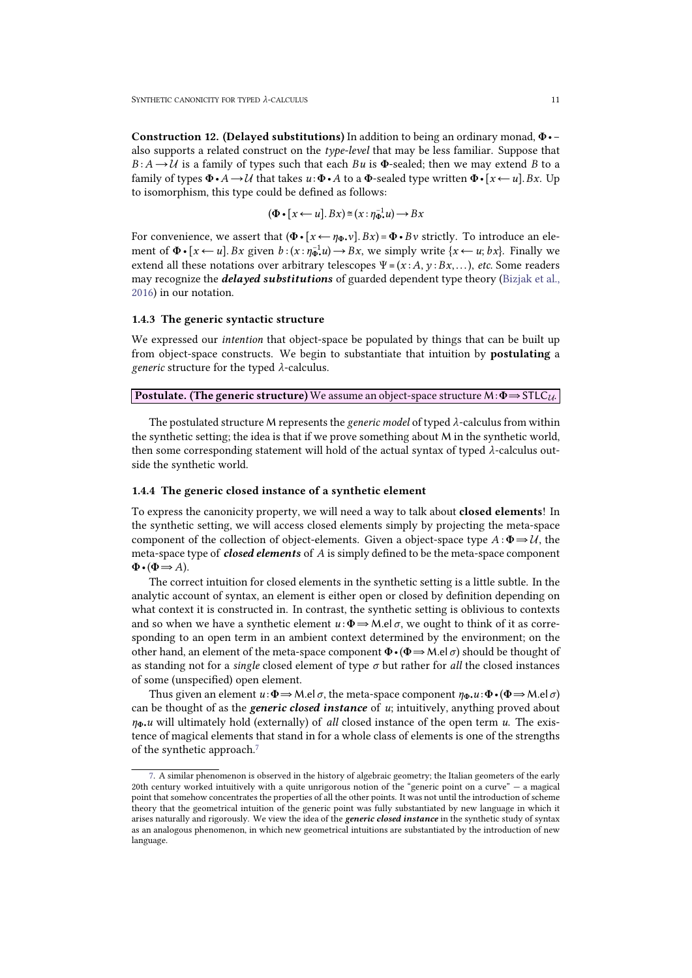Construction 12. (Delayed substitutions) In addition to being an ordinary monad, Φ•− also supports a related construct on the *type-level* that may be less familiar. Suppose that  $B: A \rightarrow U$  is a family of types such that each *Bu* is **Φ**-sealed; then we may extend *B* to a family of types  $\Phi \cdot A \rightarrow \mathcal{U}$  that takes  $u \cdot \Phi \cdot A$  to a  $\Phi$ -sealed type written  $\Phi \cdot [x \leftarrow u]$ . *Bx*. Up to isomorphism, this type could be defined as follows:

<span id="page-10-2"></span>
$$
(\Phi \bullet [x \leftarrow u].Bx) \cong (x : \eta_{\Phi \bullet}^{-1} u) \rightarrow Bx
$$

For convenience, we assert that  $(\Phi \cdot [x \leftarrow \eta_{\Phi} \cdot v]$ .  $Bx) = \Phi \cdot Bv$  strictly. To introduce an element of  $\Phi \cdot [x \leftarrow u]$ . *Bx* given  $b:(x:\eta \overline{\phi}^1 \cdot u) \rightarrow Bx$ , we simply write  $\{x \leftarrow u; bx\}$ . Finally we extend all these notations over arbitrary telescopes  $\Psi = (x : A, y : Bx, ...)$ , *etc.* Some readers may recognize the *delayed substitutions* of guarded dependent type theory [\(Bizjak](#page-21-3) [et](#page-21-3) [al.,](#page-21-3) [2016\)](#page-21-3) in our notation.

#### <span id="page-10-0"></span>1.4.3 The generic syntactic structure

We expressed our *intention* that object-space be populated by things that can be built up from object-space constructs. We begin to substantiate that intuition by postulating a *generic* structure for the typed *λ*-calculus.

Postulate. (The generic structure) We assume an object-space structure M:Φ⇒STLC*U*.

The postulated structure M represents the *generic model* of typed *λ*-calculus from within the synthetic setting; the idea is that if we prove something about M in the synthetic world, then some corresponding statement will hold of the actual syntax of typed *λ*-calculus out side the synthetic world.

#### <span id="page-10-1"></span>1.4.4 The generic closed instance of a synthetic element

To express the canonicity property, we will need a way to talk about **closed elements**! In the synthetic setting, we will access closed elements simply by projecting the meta-space component of the collection of object-elements. Given a object-space type  $A : \Phi \Rightarrow U$ , the meta-space type of *closed elements* of *A* is simply defined to be the meta-space component  $\Phi \bullet (\Phi \Longrightarrow A)$ .

The correct intuition for closed elements in the synthetic setting is a little subtle. In the analytic account of syntax, an element is either open or closed by definition depending on what context it is constructed in. In contrast, the synthetic setting is oblivious to contexts and so when we have a synthetic element  $u : \Phi \to M$ .el  $\sigma$ , we ought to think of it as corresponding to an open term in an ambient context determined by the environment; on the other hand, an element of the meta-space component Φ•(Φ⇒M.el*σ*) should be thought of as standing not for a *single* closed element of type *σ* but rather for *all* the closed instances of some (unspecified) open element.

Thus given an element  $u \colon \Phi \to M$ .el  $\sigma$ , the meta-space component  $\eta_{\Phi} u \colon \Phi \cdot (\Phi \to M$ .el  $\sigma$ ) can be thought of as the *generic closed instance* of *u*; intuitively, anything proved about *η*Φ•*u* will ultimately hold (externally) of *all* closed instance of the open term *u*. The existence ofmagical elements that stand in for a whole class of elements is one ofthe strengths of the synthetic approach.<sup>7</sup>

<span id="page-10-3"></span>[<sup>7.</sup>](#page-10-3) A similar phenomenon is observed in the history of algebraic geometry; the Italian geometers of the early 20th century worked intuitively with a quite unrigorous notion of the "generic point on a curve" — a magical point that somehow concentrates the properties of all the other points. It was not until the introduction of scheme theory that the geometrical intuition of the generic point was fully substantiated by new language in which it arises naturally and rigorously. We view the idea ofthe *generic closed instance* in the synthetic study of syntax as an analogous phenomenon, in which new geometrical intuitions are substantiated by the introduction of new language.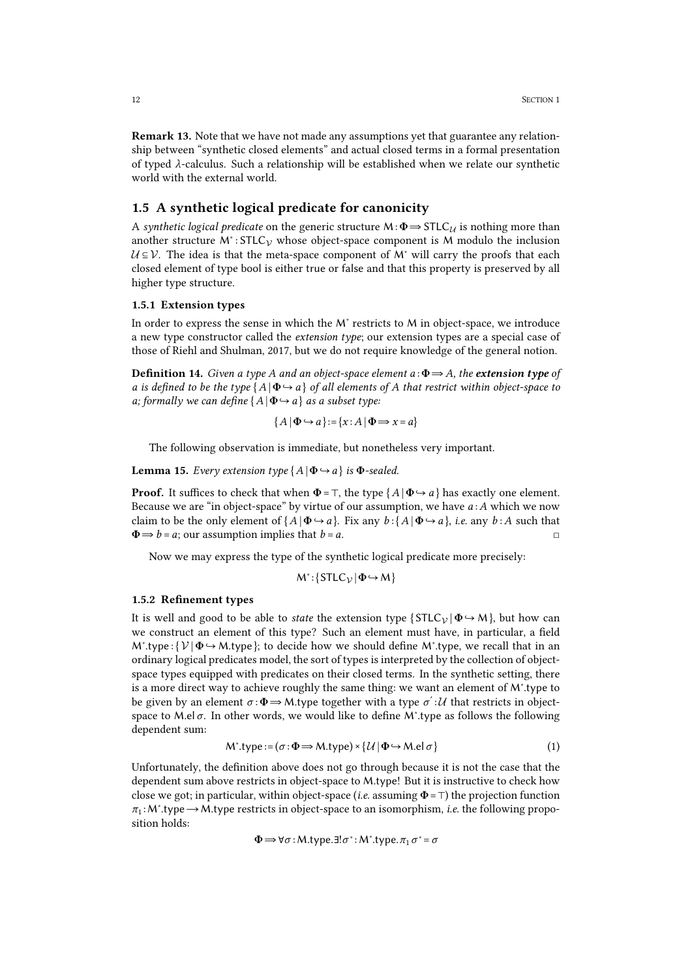Remark 13. Note that we have not made any assumptions yet that guarantee any relation ship between "synthetic closed elements" and actual closed terms in a formal presentation of typed *λ*-calculus. Such a relationship will be established when we relate our synthetic world with the external world.

### <span id="page-11-0"></span>1.5 A synthetic logical predicate for canonicity

A *synthetic logical predicate* on the generic structure M:Φ⇒STLC*<sup>U</sup>* is nothing more than another structure M<sup>∗</sup> : STLC*<sup>V</sup>* whose object-space component is M modulo the inclusion  $U \subseteq V$ . The idea is that the meta-space component of M<sup>∗</sup> will carry the proofs that each closed element of type bool is either true or false and that this property is preserved by all higher type structure.

#### <span id="page-11-1"></span>1.5.1 Extension types

In order to express the sense in which the M<sup>∗</sup> restricts to M in object-space, we introduce a new type constructor called the *extension type*; our extension types are a special case of those of Riehl and Shulman, 2017, but we do not require knowledge of the general notion.

Definition 14. *Given a type A and an object-space element a* :Φ⇒*A, the extension type of* a is defined to be the type  $\{A | \Phi \rightarrow a\}$  of all elements of A that restrict within object-space to *a; formally we can define*  $\{A | \Phi \rightarrow a\}$  *as a subset type:* 

$$
\{A \mid \Phi \hookrightarrow a\} := \{x : A \mid \Phi \Longrightarrow x = a\}
$$

The following observation is immediate, but nonetheless very important.

**Lemma 15.** *Every extension type*  ${A \mid \Phi \rightarrow a}$  *is*  $\Phi$ *-sealed.* 

**Proof.** It suffices to check that when  $\Phi = \top$ , the type  $\{A \mid \Phi \hookrightarrow a\}$  has exactly one element. Because we are "in object-space" by virtue of our assumption, we have *a* :*A* which we now claim to be the only element of  $\{A \mid \Phi \rightarrow a\}$ . Fix any  $b : \{A \mid \Phi \rightarrow a\}$ , *i.e.* any  $b : A$  such that  $\Phi \Rightarrow b = a$ ; our assumption implies that  $b = a$ .

Now we may express the type of the synthetic logical predicate more precisely:

$$
M^*:\{STLC_{\mathcal{V}}|\Phi\hookrightarrow M\}
$$

#### <span id="page-11-2"></span>1.5.2 Refinement types

It is well and good to be able to *state* the extension type  $\{STLC_V | \Phi \rightarrow M \}$ , but how can we construct an element of this type? Such an element must have, in particular, a field M<sup>∗</sup>.type: {  $V | \Phi \rightarrow M$ .type}; to decide how we should define M<sup>∗</sup>.type, we recall that in an ordinary logical predicates model, the sort of types is interpreted by the collection of object space types equipped with predicates on their closed terms. In the synthetic setting, there is a more direct way to achieve roughly the same thing: we want an element of M<sup>∗</sup> .type to be given by an element *σ* :  $Φ$  ⇒ M.type together with a type *σ*΄ : *U* that restricts in object-<br>space to M.el *σ*. In other words, we would like to define M\*.type as follows the following dependent sum:

$$
M^*.\text{type}:=(\sigma:\Phi\Longrightarrow M.\text{type})\times\{\mathcal{U}\mid \Phi\hookrightarrow M.\text{el }\sigma\}\tag{1}
$$

Unfortunately, the definition above does not go through because it is not the case that the dependent sum above restricts in object-space to M.type! But it is instructive to check how close we got; in particular, within object-space (*i.e.* assuming  $\Phi = \top$ ) the projection function  $π₁$ : M<sup>\*</sup>.type → M.type restricts in object-space to an isomorphism, *i.e.* the following proposition holds:

$$
\Phi \Longrightarrow \forall \sigma : M.\mathsf{type}.\exists !\sigma^* : M^*.type.\pi_1 \, \sigma^* = \sigma
$$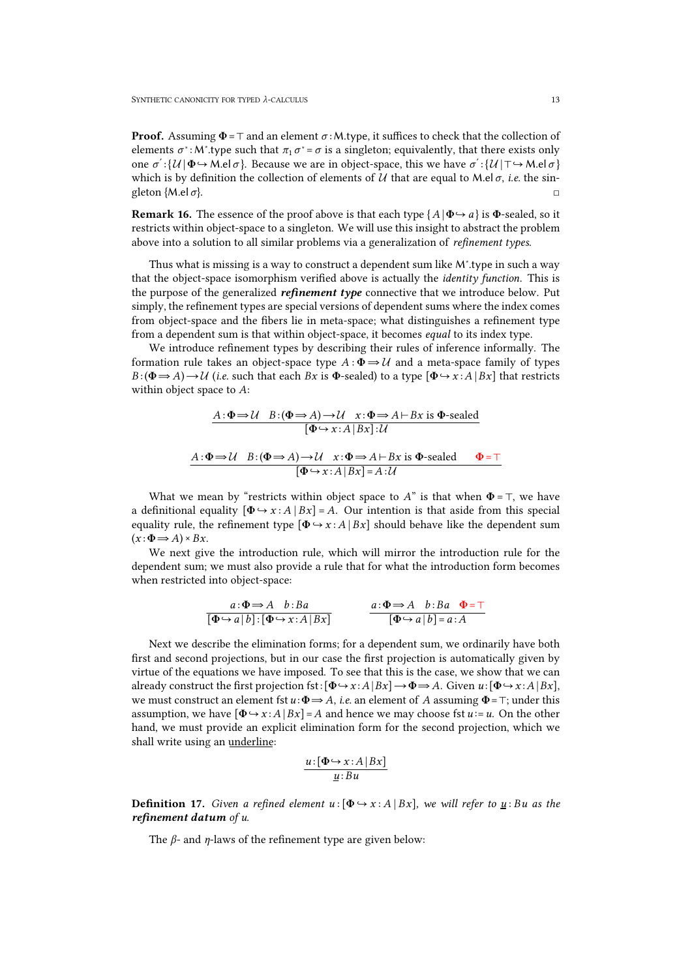**Proof.** Assuming  $\Phi = \top$  and an element  $\sigma$ : M.type, it suffices to check that the collection of elements  $\sigma^*$ : M<sup>\*</sup>.type such that  $\pi_1 \sigma^* = \sigma$  is a singleton; equivalently, that there exists only one  $\sigma' : \{ \mathcal{U} | \Phi \hookrightarrow M \text{.} \Theta \}$ . Because we are in object-space, this we have  $\sigma' : \{ \mathcal{U} | \top \hookrightarrow M \text{.} \Theta \}$ <br>which is by definition the collection of elements of  $\mathcal{U}$  that are equal to  $M \text{.} \Theta \sigma$ , *i.e.* the sing

**Remark 16.** The essence of the proof above is that each type  $\{A | \Phi \rightarrow a\}$  is  $\Phi$ -sealed, so it restricts within object-space to a singleton. We will use this insight to abstract the problem above into a solution to all similar problems via a generalization of *refinement types*.

Thus what is missing is a way to construct a dependent sum like M<sup>∗</sup> .type in such a way that the object-space isomorphism verified above is actually the *identity function*. This is the purpose of the generalized *refinement type* connective that we introduce below. Put simply, the refinement types are special versions of dependent sums where the index comes from object-space and the fibers lie in meta-space; what distinguishes a refinement type from a dependent sum is that within object-space, it becomes *equal* to its index type.

We introduce refinement types by describing their rules of inference informally. The formation rule takes an object-space type  $A : \Phi \Rightarrow U$  and a meta-space family of types  $B : (\Phi \Rightarrow A) \rightarrow U$  (*i.e.* such that each  $Bx$  is  $\Phi$ -sealed) to a type  $[\Phi \leftrightarrow x : A | Bx]$  that restricts within object space to A:

$$
A: \Phi \to \mathcal{U} \quad B: (\Phi \to A) \to \mathcal{U} \quad x: \Phi \to A \vdash Bx \text{ is } \Phi\text{-sealed}
$$

$$
[\Phi \to x: A \mid Bx]: \mathcal{U}
$$

$$
A: \Phi \to \mathcal{U} \quad B: (\Phi \to A) \to \mathcal{U} \quad x: \Phi \to A \vdash Bx \text{ is } \Phi\text{-sealed} \qquad \Phi = \top
$$

$$
[\Phi \to x: A \mid Bx] = A: \mathcal{U}
$$

What we mean by "restricts within object space to *A*" is that when  $\Phi = \top$ , we have a definitional equality  $[\Phi \rightarrow x : A \mid Bx] = A$ . Our intention is that aside from this special equality rule, the refinement type  $[\Phi \rightarrow x : A | Bx]$  should behave like the dependent sum  $(x:\Phi \Longrightarrow A) \times Bx$ .

We next give the introduction rule, which will mirror the introduction rule for the dependent sum; we must also provide a rule that for what the introduction form becomes when restricted into object-space:

$$
\frac{a:\Phi \Rightarrow A \quad b: Ba}{[\Phi \hookrightarrow a \mid b]: [\Phi \hookrightarrow x:A \mid Bx]} \qquad \qquad \frac{a:\Phi \Rightarrow A \quad b: Ba \quad \Phi = \top}{[\Phi \hookrightarrow a \mid b] = a:A}
$$

Next we describe the elimination forms; for a dependent sum, we ordinarily have both first and second projections, but in our case the first projection is automatically given by virtue of the equations we have imposed. To see that this is the case, we show that we can already construct the first projection fst: $[\Phi \rightarrow x : A | Bx] \rightarrow \Phi \rightarrow A$ . Given  $u : [\Phi \rightarrow x : A | Bx]$ , we must construct an element fst  $u: \Phi \to A$ , *i.e.* an element of A assuming  $\Phi = \top$ ; under this assumption, we have  $[\Phi \rightarrow x : A | Bx] = A$  and hence we may choose fst  $u := u$ . On the other hand, we must provide an explicit elimination form for the second projection, which we shall write using an underline:

$$
\frac{u\!:\![\Phi\!\leftrightarrow\! x\!:\!A\,|\,Bx]}{\underline{u}\!:\!Bu}
$$

**Definition 17.** Given a refined element  $u : [\Phi \rightarrow x : A | Bx]$ , we will refer to  $u : Bu$  as the *refinement datum of u.*

The *β*- and *η*-laws of the refinement type are given below: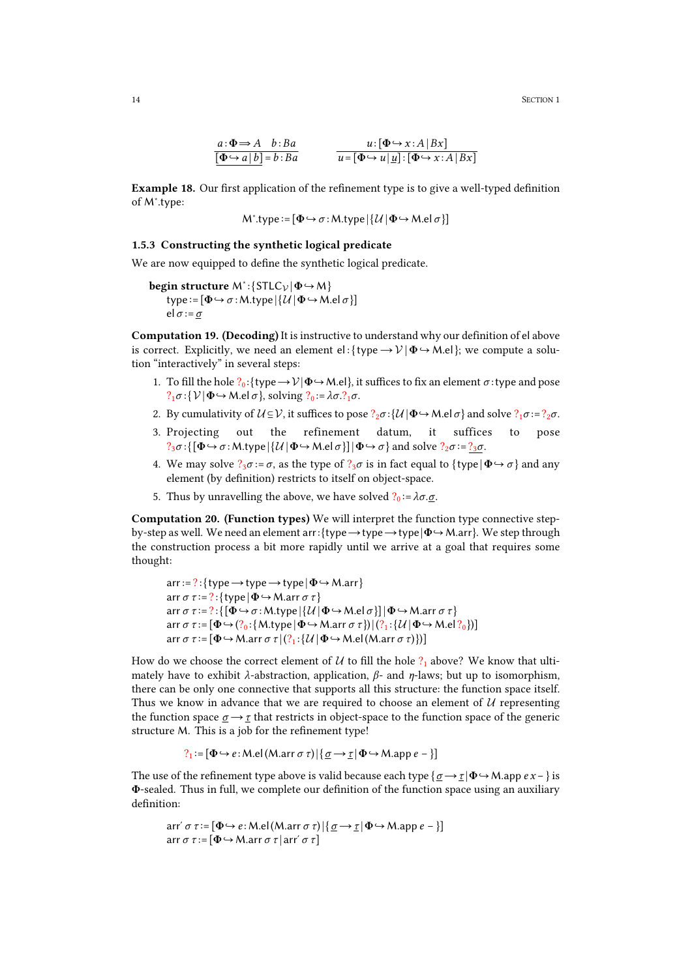14 SECTION 1

$$
\frac{a:\Phi \Rightarrow A \quad b: Ba}{[\Phi \hookrightarrow a \mid b] = b: Ba} \qquad \qquad \frac{u:[\Phi \hookrightarrow x:A \mid Bx]}{u = [\Phi \hookrightarrow u \mid \underline{u}]:[\Phi \hookrightarrow x:A \mid Bx]}
$$

Example 18. Our first application of the refinement type is to give a well-typed definition of M<sup>∗</sup> .type:

$$
M^*.type := [\Phi \hookrightarrow \sigma : M.\mathsf{type} \,|\, \{\mathcal{U} \,|\, \Phi \hookrightarrow M.\mathsf{el}\,\sigma\}]
$$

### <span id="page-13-0"></span>1.5.3 Constructing the synthetic logical predicate

We are now equipped to define the synthetic logical predicate.

```
begin structure M∗
:{STLCV |Φ↪M}
   type :=[Φ↪σ :M.type |{U |Φ↪M.el σ }] el σ :=σ
```
Computation 19. (Decoding) It is instructive to understand why our definition of el above is correct. Explicitly, we need an element el: { $type \rightarrow V | \Phi \rightarrow M$ .el}; we compute a solution "interactively" in several steps:

- 1. To fill the hole  $?_0$ :{type  $\rightarrow$   $V$ | $\Phi$   $\rightarrow$  M.el}, it suffices to fix an element  $\sigma$ :type and pose  $?$ <sub>1</sub> $\sigma$  : {  $V | \Phi \hookrightarrow$  M.el  $\sigma$ }, solving  $?$ <sub>0</sub> :=  $\lambda \sigma$ .?<sub>1</sub> $\sigma$ .
- 2. By cumulativity of  $U \subseteq V$ , it suffices to pose  $?2\sigma$  :{ $U | \Phi \hookrightarrow M$ .el $\sigma$ } and solve  $?1\sigma := ?2\sigma$ .
- 3. Projecting out the refinement datum, it suffices to pose  $?$ <sub>3</sub> $\sigma$  :{[ $\Phi \hookrightarrow \sigma$  : M.type  $|\mathcal{U}| \Phi \hookrightarrow M$ .el $\sigma$ }]| $\Phi \hookrightarrow \sigma$ } and solve  $?$ <sub>2</sub> $\sigma$  :=  $?$ <sub>3</sub> $\sigma$ .
- 4. We may solve  $?\sqrt{3} \sigma := \sigma$ , as the type of  $?\sqrt{3} \sigma$  is in fact equal to  $\{\text{type} | \Phi \rightarrow \sigma \}$  and any element (by definition) restricts to itself on object-space.
- 5. Thus by unravelling the above, we have solved  $?_0 := \lambda \sigma \cdot \underline{\sigma}$ .

Computation 20. (Function types) We will interpret the function type connective step by-step as well. We need an element arr:{type→type→type|Φ↪M.arr}. We step through the construction process a bit more rapidly until we arrive at a goal that requires some thought:

```
arr:=?:{type \rightarrow type \rightarrow type |\Phi \rightarrow M.arr}
arr \sigma \tau := ?: {type |\Phi \rightarrow M.arr \sigma \tau}
arr \sigma \tau := ?: {[\Phi \rightarrow \sigma : M.type | \{U | \Phi \rightarrow M. \text{el } \sigma\}] | \Phi \rightarrow M. \text{arr } \sigma \tau}<br>arr \sigma \tau := [\Phi \rightarrow (?_0 : \{M.type | \Phi \rightarrow M. \text{arr } \sigma \tau\}) | (?_1 : \{U | \Phi \rightarrow M. \text{el } ?_0\})]<br>arr \sigma \tau := [\Phi \rightarrow M. \text{arr } \sigma \tau | (?_1 : \{U | \Phi \rightarrow M. \text{el } (M. \text{arr } \sigma \tau)\})]
```
How do we choose the correct element of *U* to fill the hole  $?$ <sub>1</sub> above? We know that ulti-<br>mately have to exhibit *λ*-abstraction, application, *β*- and *η*-laws; but up to isomorphism, there can be only one connective that supports all this structure: the function space itself. Thus we know in advance that we are required to choose an element of *U* representing the function space *σ* →*τ* that restricts in object-space to the function space of the generic structure M. This is a job for the refinement type!

$$
?_1:=[\Phi \hookrightarrow e:\text{M}.el(\text{M.arr } \sigma \tau)]\{\underline{\sigma} \rightarrow \underline{\tau}|\Phi \hookrightarrow \text{M.app } e-\}]
$$

The use of the refinement type above is valid because each type  ${\sigma \to \tau | \Phi \to M}$ .app  ${ex -}$  } is Φ-sealed. Thus in full, we complete our definition of the function space using an auxiliary definition:

$$
\text{arr}' \sigma \tau := [\Phi \hookrightarrow e : \text{M}.el(\text{M}.\text{arr } \sigma \tau)] \{ \underline{\sigma} \rightarrow \underline{\tau} | \Phi \hookrightarrow \text{M}.\text{app } e - \}]
$$
\n
$$
\text{arr } \sigma \tau := [\Phi \hookrightarrow \text{M}.\text{arr } \sigma \tau | \text{arr}' \sigma \tau]
$$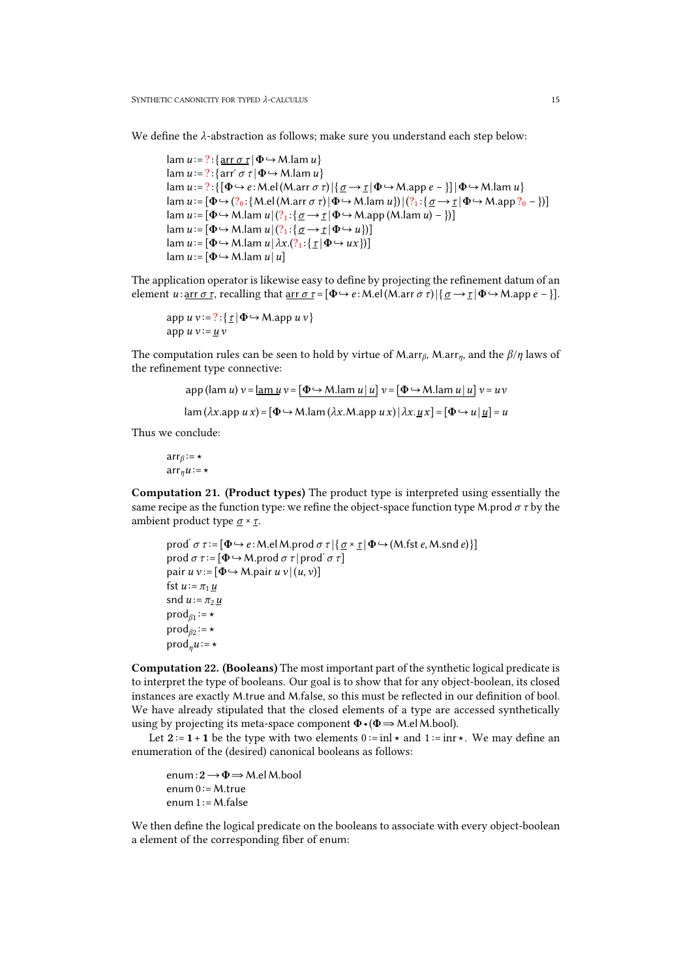We define the *λ*-abstraction as follows; make sure you understand each step below:

```
lam u := ? : \{ \arctan \sigma \tau \mid \Phi \hookrightarrow M \}.lam u \}lam u := ?:{arr´ \sigma \tau | \Phi \hookrightarrow M.lam u}
lam u := ? : \{ [\Phi \hookrightarrow e : \text{M}.el(\text{M.arr } \sigma \tau) | \{\underline{\sigma} \rightarrow \underline{\tau} | \Phi \hookrightarrow \text{M.} \text{app } e - \}] | \Phi \hookrightarrow \text{M.} \text{lam } u \}lam u := [\Phi \rightarrow (?_0 : \{M\ldots\} \mid (M\ldots \cap \tau)^{\top}] \Phi \rightarrow M\ldotslam u\}) |(?_1 : \{\underline{\sigma} \rightarrow \underline{\tau} \mid \Phi \rightarrow M\ldots\cap \tau^{\top}]lam u :=[Φ↪M.lam u |(?1 :{ σ →τ |Φ↪M.app (M.lam u) −})]
lam u := [\Phi \hookrightarrow M.lam u | (?_1 : {\sigma \rightarrow \tau | \Phi \hookrightarrow u})]lam u := [\Phi \rightarrow M.lam u | \lambda x. (?_1 : {\tau | \Phi \rightarrow ux})]\tan u := [\Phi \hookrightarrow M.lam u | u]
```
The application operator is likewise easy to define by projecting the refinement datum of an element *u*: <u>arr *σ τ*</u>, recalling that <u>arr *σ τ*</u> = [ $\Phi \leftrightarrow e$ : M.el(M.arr *σ τ*)|{ $\underline{\sigma} \rightarrow \underline{\tau}$ | $\Phi \leftrightarrow M$ .app *e* - }].

```
app u v :=? :{ τ |Φ↪M.app u v }app u v := u v
```
The computation rules can be seen to hold by virtue of M.arr<sub>β</sub>, M.arr<sub>n</sub>, and the  $\beta/\eta$  laws of the refinement type connective:

$$
\text{app (lam } u) v = \underline{\text{lam } u} v = \underline{\Phi \hookrightarrow M.\text{lam } u \, | \, u} v = \underline{\Phi \hookrightarrow M.\text{lam } u \, | \, u} v = uv
$$
\n
$$
\text{lam } (\lambda x. \text{app } u \, x) = \underline{\Phi \hookrightarrow M.\text{lam} (\lambda x. \text{Map } u \, x) \, | \, \lambda x. \underline{u} \, x} = \underline{\Phi \hookrightarrow u \, | \, \underline{u} \,} = u
$$

Thus we conclude:

arr*<sup>β</sup>* :=⋆  $\arr_\eta u := \star$ 

Computation 21. (Product types) The product type is interpreted using essentially the same recipe as the function type: we refine the object-space function type M.prod  $\sigma \tau$  by the ambient product type  $\sigma \times \tau$ .

```
prod<sup>'</sup> σ τ := [Φ → e : M.el M.prod σ τ |{ <u>σ</u> × <u>r</u></del> | Φ → (M.fst <i>e, M.snd e)}]
prod σ τ :=[Φ↪M.prod σ τ | prodʹ σ τ]
pair u v := [\Phi \rightarrow M.pair u v | (u, v)]fst u := \pi_1 \underline{u}snd u := \pi_2 u\text{prod}_{\beta_1} := \starprodβ2
:=⋆
\text{prod}_n u = \star
```
Computation 22. (Booleans) The most important part of the synthetic logical predicate is to interpret the type of booleans. Our goal is to show that for any object-boolean, its closed instances are exactly M.true and M.false, so this must be reflected in our definition of bool. We have already stipulated that the closed elements of a type are accessed synthetically using by projecting its meta-space component  $\Phi \cdot (\Phi \Rightarrow M \cdot e \cdot M)$ .

Let  $2 := 1 + 1$  be the type with two elements  $0 := \text{inl} \star$  and  $1 := \text{inr} \star$ . We may define an enumeration of the (desired) canonical booleans as follows:

enum:2→Φ⇒M.elM.bool enum  $0 := M$ .true enum  $1 := M$ .false

We then define the logical predicate on the booleans to associate with every object-boolean a element of the corresponding fiber of enum: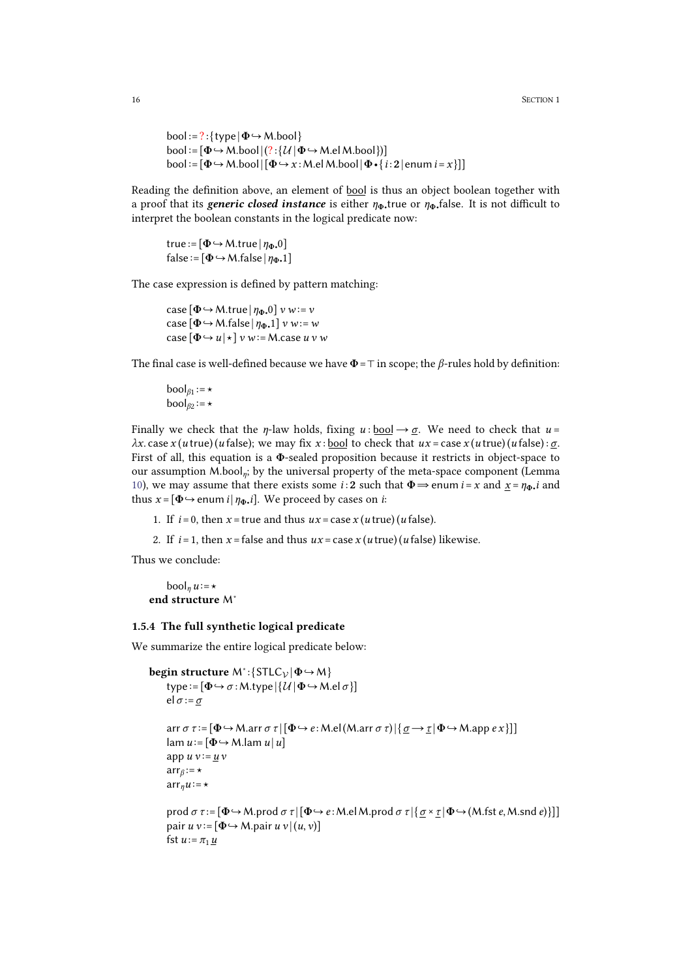```
bool := ? : \{ type | \Phi \hookrightarrow M.bool \}bool := [\Phi \hookrightarrow M_{\cdot}bool |(?:\{\mathcal{U} | \Phi \hookrightarrow M_{\cdot}el M_{\cdot}bool \})]bool := [\Phi \rightarrow M.bool | [\Phi \rightarrow x : M.el M.bool | \Phi \cdot \{i : 2 | \text{enum } i = x \}]]
```
Reading the definition above, an element of bool is thus an object boolean together with a proof that its *generic closed instance* is either  $\eta_{\Phi}$ , true or  $\eta_{\Phi}$ , false. It is not difficult to interpret the boolean constants in the logical predicate now:

true :=  $[\Phi \rightarrow M$ .true  $|\eta_{\Phi}$ .<sup>0</sup>]  $false := [\Phi \hookrightarrow M$ .false  $|\eta_{\Phi}$ .1]

The case expression is defined by pattern matching:

case  $[\Phi \rightarrow M.$ true  $|\eta_{\Phi}.0]$  *v w*:= *v*  $\cose[\Phi \rightarrow M$ .false |  $\eta_{\Phi}$ .1]  $v w := w$  $\csc(\Phi \hookrightarrow u | \star]$  *v*  $w := M \cdot \csc u$  *v w* 

The final case is well-defined because we have  $\Phi = \top$  in scope; the  $\beta$ -rules hold by definition:

```
\text{bool}_{\beta_1} := \star\text{bool}_{\beta 2} := \star
```
Finally we check that the *η*-law holds, fixing  $u : \text{bool} \rightarrow \sigma$ . We need to check that  $u =$ *λx*. case *x* (*u* true)(*u* false); we may fix *x* : bool to check that  $ux = \cose x (u \text{ true}) (u \text{ false}) : \sigma$ . First of all, this equation is a  $\Phi$ -sealed proposition because it restricts in object-space to our assumption M.bool*η*; by the universal property of the meta-space component (Lemma [10\)](#page-9-1), we may assume that there exists some *i* : 2 such that  $\Phi \Rightarrow$  enum *i* = *x* and  $\underline{x} = \eta_{\Phi}$ *i* and thus  $x = [\Phi \rightarrow e$ num *i* |  $\eta_{\Phi}$ *i*]. We proceed by cases on *i*:

- 1. If  $i = 0$ , then  $x = true$  and thus  $ux = case x (u true) (u false)$ .
- 2. If  $i = 1$ , then  $x =$  false and thus  $ux =$  case  $x(u \text{ true})(u \text{ false})$  likewise.

Thus we conclude:

```
\text{bool}_n u := \starend structure M∗
```
#### <span id="page-15-0"></span>1.5.4 The full synthetic logical predicate

We summarize the entire logical predicate below:

```
begin structure M∗
:{STLCV |Φ↪M}
   type :=[Φ↪σ :M.type |{U |Φ↪M.el σ }] el σ :=σ
   arr σ τ :=[Φ↪M.arr σ τ |[Φ↪e :M.el(M.arr σ τ)|{σ →τ |Φ↪M.app e x }]]
   \tan u := [\Phi \hookrightarrow M.lam u | u]app u v := u varrβ
:=⋆
   \arctan u := \starprod σ τ := [Φ → M.prod σ τ | [Φ → e : M.el M.prod σ τ | {<u>σ</u> × <u>τ</u>]Φ → (M.fst e, M.snd e)}]]</u>
   pair u v := [\Phi \rightarrow M.pair u v | (u, v)]fst u := \pi_1 \underline{u}
```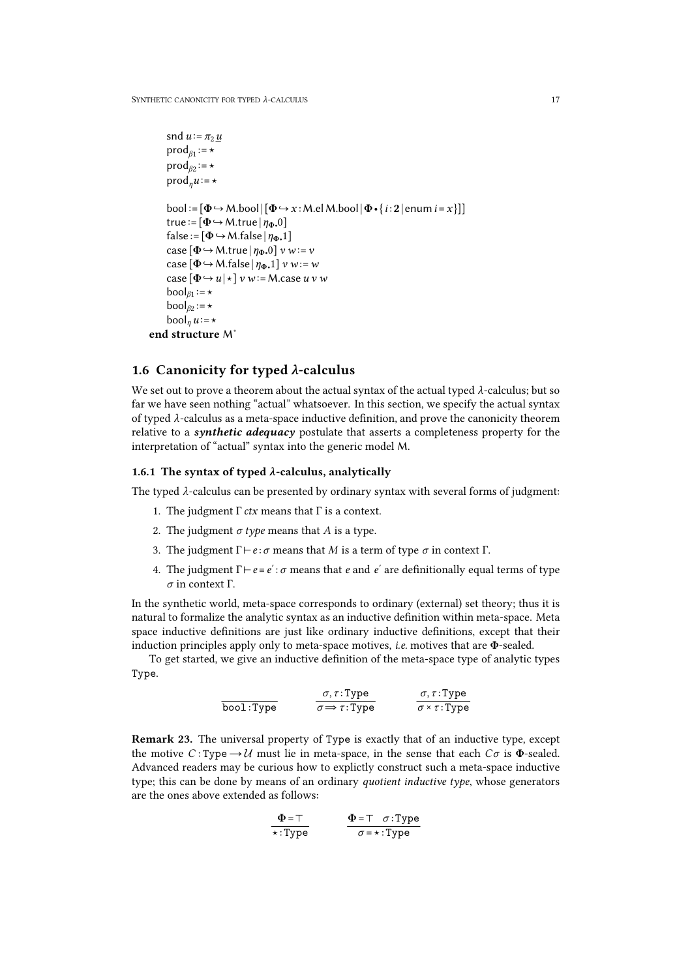```
snd u := \pi_2 u\text{prod}_{\beta_1} := \starprodβ2
:=⋆
      \text{prod}_n u := \starbool := [\Phi \rightarrow M \cdot bool | [\Phi \rightarrow x : M \cdot el M \cdot bool | \Phi \cdot \{i : 2 | \text{enum } i = x\}]]true := [\Phi \rightarrow M.true | \eta_{\Phi}.<sup>0</sup>]
      false := [\Phi \hookrightarrow M.false |\eta_{\Phi} \cdot 1|case [\Phi \rightarrow M.true |\eta_{\Phi\bullet}0|\ v w:=v\csc(\Phi \rightarrow M \cdot \text{false} | n_{\Phi}, 1] v w := w\csc(\Phi \rightarrow u \mid \star) v w:=M.case u v w
      \text{bool}_{\beta_1} := \star\text{bool}_{\beta 2} := \star\text{bool}_n u := \starend structure M∗
```
### <span id="page-16-0"></span>1.6 Canonicity for typed *λ*-calculus

We set out to prove a theorem about the actual syntax of the actual typed  $\lambda$ -calculus; but so far we have seen nothing "actual" whatsoever. In this section, we specify the actual syntax of typed *λ*-calculus as a meta-space inductive definition, and prove the canonicity theorem relative to a *synthetic adequacy* postulate that asserts a completeness property for the interpretation of "actual" syntax into the generic model M.

### <span id="page-16-1"></span>1.6.1 The syntax of typed  $\lambda$ -calculus, analytically

The typed *λ*-calculus can be presented by ordinary syntax with several forms of judgment:

- 1. The judgment Γ *ctx* means that Γ is a context.
- 2. The judgment *σ type* means that *A* is a type.
- 3. The judgment Γ⊢*e* :*σ* means that *M* is a term of type *σ* in context Γ.
- 4. The judgment  $\Gamma \vdash e \equiv e' : \sigma$  means that *e* and *e'* are definitionally equal terms of type *σ* in context Γ.

In the synthetic world, meta-space corresponds to ordinary (external) set theory; thus it is natural to formalize the analytic syntax as an inductive definition within meta-space. Meta space inductive definitions are just like ordinary inductive definitions, except that their induction principles apply only to meta-space motives, *i.e.* motives that are Φ-sealed.

To get started, we give an inductive definition of the meta-space type of analytic types Type.

> <span id="page-16-2"></span>bool:Type  $c$ *σ*, *τ* : Type  $\sigma \Longrightarrow \tau : \text{Type}$  $\sigma, \tau$ :Type *σ* ×*τ* :Type

Remark 23. The universal property of Type is exactly that of an inductive type, except the motive *C* : Type  $\rightarrow$  *U* must lie in meta-space, in the sense that each *C* $\sigma$  is  $\Phi$ -sealed. Advanced readers may be curious how to explictly construct such a meta-space inductive type; this can be done by means of an ordinary *quotient inductive type*, whose generators are the ones above extended as follows:

$$
\Phi = \top \n\star : Type \n\Phi = \top \quad \sigma : Type \n\sigma = \star : Type
$$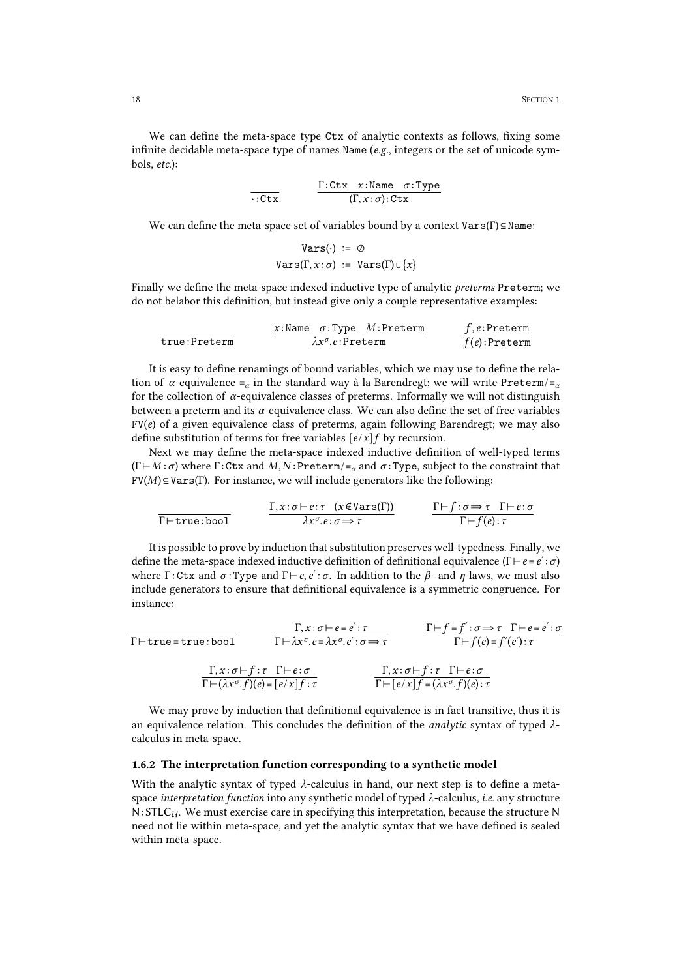We can define the meta-space type Ctx of analytic contexts as follows, fixing some infinite decidable meta-space type of names Name (*e.g.*, integers or the set of unicode sym bols, *etc.*):

$$
\frac{\Gamma: \text{ctx} \quad x: \text{Name} \quad \sigma: \text{Type}}{(\Gamma, x: \sigma): \text{Ctx}}
$$

We can define the meta-space set of variables bound by a context  $VarS(\Gamma) \subseteq Name$ :

$$
\begin{array}{rl} \texttt{Vars}(\cdot) & := \varnothing \\ \texttt{Vars}(\Gamma, x \colon \sigma) & := \texttt{Vars}(\Gamma) \cup \{x\} \end{array}
$$

Finally we define the meta-space indexed inductive type of analytic *preterms* Preterm; we do not belabor this definition, but instead give only a couple representative examples:

| $x:\text{Name } \sigma:\text{Type } M:\text{Preterm}$ | $f,e:\text{Preterm}$                             |
|-------------------------------------------------------|--------------------------------------------------|
| $\text{true}: \text{Preterm}$                         | $\frac{f,e:\text{Preterm}}{f(e):\text{Preterm}}$ |

It is easy to define renamings of bound variables, which we may use to define the relation of *α*-equivalence ≡*<sup>α</sup>* in the standard way à la Barendregt; we will write Preterm/≡*<sup>α</sup>* for the collection of  $\alpha$ -equivalence classes of preterms. Informally we will not distinguish between a preterm and its*α*-equivalence class. We can also define the set of free variables FV(*e*) of a given equivalence class of preterms, again following Barendregt; we may also define substitution of terms for free variables  $[e/x]$ *f* by recursion.

Next we may define the meta-space indexed inductive definition of well-typed terms  $(\Gamma \vdash M : \sigma)$  where  $\Gamma : \text{Ctx}$  and  $M, N : \text{Preterm}/\equiv_{\alpha}$  and  $\sigma : \text{Type}$ , subject to the constraint that  $FV(M) \subseteq VarS(\Gamma)$ . For instance, we will include generators like the following:

$$
\frac{\Gamma, x : \sigma \vdash e : \tau \quad (x \notin \text{Vars}(\Gamma))}{\lambda x^{\sigma}. e : \sigma \Rightarrow \tau} \qquad \frac{\Gamma \vdash f : \sigma \Rightarrow \tau \quad \Gamma \vdash e : \sigma}{\Gamma \vdash f(e) : \tau}
$$

It is possible to prove by induction thatsubstitution preserves well-typedness. Finally, we define the meta-space indexed inductive definition of definitional equivalence (Γ⊢*e* ≡*e*ʹ :*σ*) where Γ : Ctx and *σ* : Type and Γ⊢*e*, *e*ʹ : *σ*. In addition to the *β*- and *η*-laws, we must also include generators to ensure that definitional equivalence is a symmetric congruence. For instance:

$$
\Gamma \vdash \texttt{true} \equiv \texttt{true} : \texttt{bool} \qquad \frac{\Gamma, x : \sigma \vdash e \equiv e' : \tau}{\Gamma \vdash \lambda x^{\sigma}. e \equiv \lambda x^{\sigma}. e' : \sigma \Rightarrow \tau} \qquad \frac{\Gamma \vdash f \equiv f' : \sigma \Rightarrow \tau \quad \Gamma \vdash e \equiv e' : \sigma}{\Gamma \vdash f(e) \equiv f'(e') : \tau}
$$
\n
$$
\frac{\Gamma, x : \sigma \vdash f : \tau \quad \Gamma \vdash e : \sigma}{\Gamma \vdash (\lambda x^{\sigma}. f)(e) \equiv [e/x] f : \tau} \qquad \frac{\Gamma, x : \sigma \vdash f : \tau \quad \Gamma \vdash e : \sigma}{\Gamma \vdash [e/x] f \equiv (\lambda x^{\sigma}. f)(e) : \tau}
$$

We may prove by induction that definitional equivalence is in fact transitive, thus it is an equivalence relation. This concludes the definition of the *analytic* syntax of typed *<sup>λ</sup>*-calculus in meta-space.

#### <span id="page-17-0"></span>1.6.2 The interpretation function corresponding to a synthetic model

With the analytic syntax of typed *λ*-calculus in hand, our next step is to define a meta space *interpretation function* into any synthetic model of typed *λ*-calculus, *i.e.* any structure N:STLC*U*. We must exercise care in specifying this interpretation, because the structure N need not lie within meta-space, and yet the analytic syntax that we have defined is sealed within meta-space.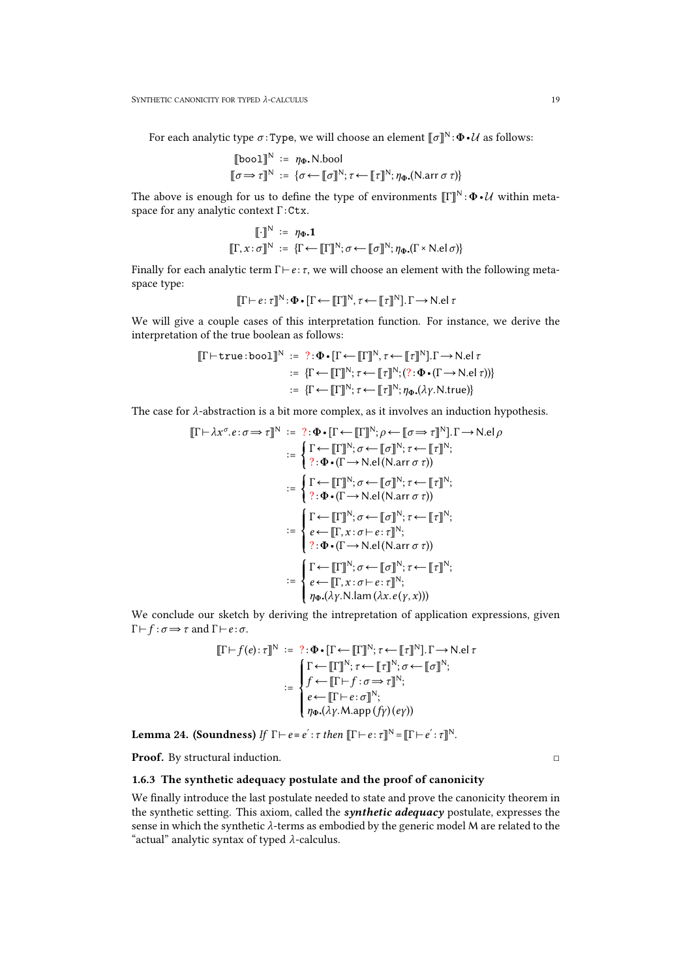For each analytic type  $\sigma$ :Type, we will choose an element  $\llbracket \sigma \rrbracket^N : \Phi \cdot \mathcal{U}$  as follows:

$$
\begin{aligned}\n\llbracket \text{bool} \rrbracket^N &:= \eta_{\Phi}. \text{N.bool} \\
\llbracket \sigma \Rightarrow \tau \rrbracket^N &:= \{ \sigma \leftarrow \llbracket \sigma \rrbracket^N; \tau \leftarrow \llbracket \tau \rrbracket^N; \eta_{\Phi}. (\text{N.array } \sigma \tau) \}\n\end{aligned}
$$

The above is enough for us to define the type of environments  $\llbracket \Gamma \rrbracket^N : \Phi \cdot \mathcal{U}$  within metaspace for any analytic context  $\Gamma : \mathsf{Ctx}$ .

$$
\llbracket \cdot \rrbracket^N := \eta_{\Phi} \cdot \mathbf{1}
$$

$$
\llbracket \Gamma, x : \sigma \rrbracket^N := \{ \Gamma \leftarrow \llbracket \Gamma \rrbracket^N; \sigma \leftarrow \llbracket \sigma \rrbracket^N; \eta_{\Phi} \cdot (\Gamma \times \text{N}. \text{el } \sigma) \}
$$

Finally for each analytic term Γ⊢*e* : *τ*, we will choose an element with the following meta space type:

$$
[\![\Gamma \vdash e \colon \tau]\!]^{\mathbb{N}} \colon \Phi \bullet [\![\Gamma \leftarrow [\![\Gamma]\!]^{\mathbb{N}}, \tau \leftarrow [\![\tau]\!]^{\mathbb{N}}].\Gamma \rightarrow \mathbb{N}.el \tau
$$

We will give a couple cases of this interpretation function. For instance, we derive the interpretation of the true boolean as follows:

$$
\llbracket \Gamma \vdash \texttt{true} : \texttt{bool} \rrbracket^N := ? : \Phi \cdot [\Gamma \leftarrow \llbracket \Gamma \rrbracket^N, \tau \leftarrow \llbracket \tau \rrbracket^N], \Gamma \rightarrow \texttt{N}.\texttt{el} \ \tau
$$
\n
$$
:= \{ \Gamma \leftarrow \llbracket \Gamma \rrbracket^N; \tau \leftarrow \llbracket \tau \rrbracket^N; (? : \Phi \cdot (\Gamma \rightarrow \texttt{N}.\texttt{el} \ \tau)) \}
$$
\n
$$
:= \{ \Gamma \leftarrow \llbracket \Gamma \rrbracket^N; \tau \leftarrow \llbracket \tau \rrbracket^N; \eta_{\Phi}.(\lambda \gamma. \texttt{N}.\texttt{true}) \}
$$

The case for *λ*-abstraction is a bit more complex, as it involves an induction hypothesis.

$$
\llbracket \Gamma \vdash \lambda x^{\sigma}. e : \sigma \Rightarrow \tau \rrbracket^N := ? : \Phi \cdot \llbracket \tau \leftarrow \llbracket \tau \rrbracket^N; \rho \leftarrow \llbracket \sigma \Rightarrow \tau \rrbracket^N \rrbracket, \Gamma \rightarrow \text{N}. e | \rho
$$
\n
$$
:= \begin{cases} \Gamma \leftarrow \llbracket \Gamma \rrbracket^N; \sigma \leftarrow \llbracket \sigma \rrbracket^N; \tau \leftarrow \llbracket \tau \rrbracket^N; \\ ? : \Phi \cdot (\Gamma \rightarrow \text{N}. e | (\text{N.arr } \sigma \tau)) \end{cases}
$$
\n
$$
:= \begin{cases} \Gamma \leftarrow \llbracket \Gamma \rrbracket^N; \sigma \leftarrow \llbracket \sigma \rrbracket^N; \tau \leftarrow \llbracket \tau \rrbracket^N; \\ ? : \Phi \cdot (\Gamma \rightarrow \text{N.} e | (\text{N.arr } \sigma \tau)) \end{cases}
$$
\n
$$
:= \begin{cases} \Gamma \leftarrow \llbracket \Gamma \rrbracket^N; \sigma \leftarrow \llbracket \sigma \rrbracket^N; \tau \leftarrow \llbracket \tau \rrbracket^N; \\ ? : \Phi \cdot (\Gamma \rightarrow \text{N.} e | (\text{N.arr } \sigma \tau)) \end{cases}
$$
\n
$$
:= \begin{cases} \Gamma \leftarrow \llbracket \Gamma \rrbracket^N; \sigma \leftarrow \llbracket \sigma \rrbracket^N; \tau \leftarrow \llbracket \tau \rrbracket^N; \\ e \leftarrow \llbracket \Gamma, x : \sigma \vdash e : \tau \rrbracket^N; \\ \eta \Phi \cdot (\lambda \gamma. \text{N.lam } (\lambda x. e(\gamma, x))) \end{cases}
$$

We conclude our sketch by deriving the intrepretation of application expressions, given  $\Gamma \vdash f : \sigma \Longrightarrow \tau \text{ and } \Gamma \vdash e : \sigma.$ 

$$
\llbracket \Gamma \vdash f(e) : \tau \rrbracket^N := ? : \Phi \cdot \llbracket \tau \leftarrow \llbracket \tau \rrbracket^N ; \tau \leftarrow \llbracket \tau \rrbracket^N \rrbracket^N, \Gamma \rightarrow \text{N}.el \tau
$$
\n
$$
:= \begin{cases} \Gamma \leftarrow \llbracket \Gamma \rrbracket^N ; \tau \leftarrow \llbracket \tau \rrbracket^N ; \sigma \leftarrow \llbracket \sigma \rrbracket^N ; \\ f \leftarrow \llbracket \Gamma \vdash f : \sigma \Rightarrow \tau \rrbracket^N ; \\ e \leftarrow \llbracket \Gamma \vdash e : \sigma \rrbracket^N ; \\ \eta_{\Phi}.(\lambda \gamma . \text{Map}(f \gamma)(e \gamma)) \end{cases}
$$

<span id="page-18-1"></span>**Lemma 24. (Soundness)** *If*  $\Gamma \vdash e = e' : \tau$  *then*  $\Vert \Gamma \vdash e : \tau \Vert^N = \Vert \Gamma \vdash e' : \tau \Vert^N$ .

Proof. By structural induction. □

### <span id="page-18-0"></span>1.6.3 The synthetic adequacy postulate and the proof of canonicity

We finally introduce the last postulate needed to state and prove the canonicity theorem in the synthetic setting. This axiom, called the *synthetic adequacy* postulate, expresses the sense in which the synthetic *λ*-terms as embodied by the generic model M are related to the "actual" analytic syntax of typed *λ*-calculus.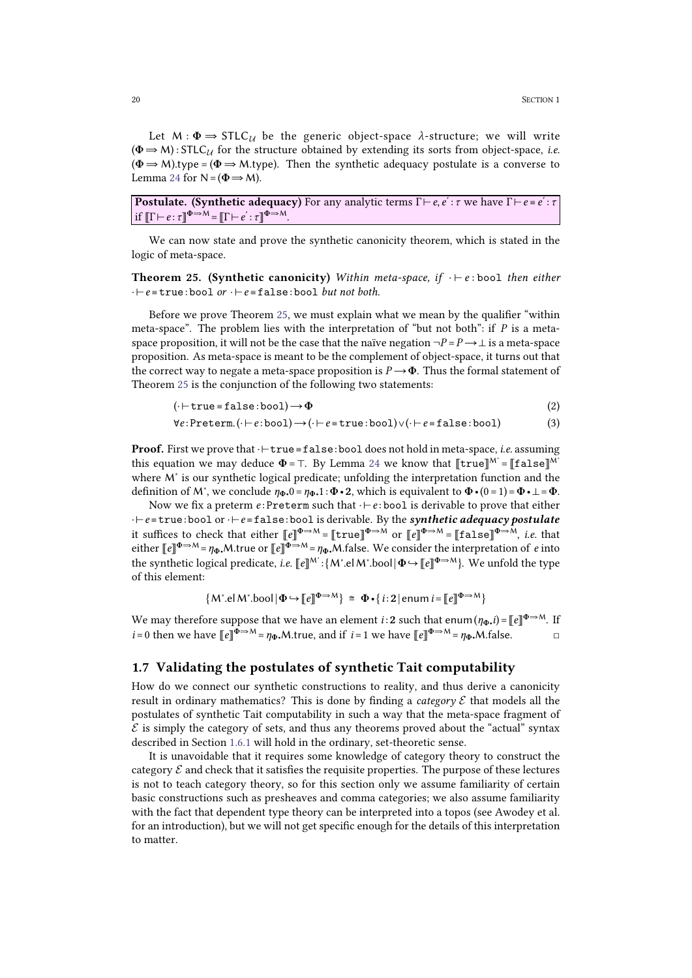Let  $M : \Phi \Rightarrow \text{STLC}_{\mathcal{U}}$  be the generic object-space  $\lambda$ -structure; we will write  $(\Phi \Rightarrow M) : \text{STLC}_{\mathcal{U}}$  for the structure obtained by extending its sorts from object-space, *i.e.*  $(\Phi \Rightarrow M)$ .type =  $(\Phi \Rightarrow M)$ .type). Then the synthetic adequacy postulate is a converse to Lemma [24](#page-18-1) for  $N = (\Phi \Rightarrow M)$ .

Postulate. (Synthetic adequacy) For any analytic terms Γ⊢*e*, *e*ʹ : *τ* we have Γ⊢*e* ≡ *e*ʹ : *τ* if  $\llbracket \Gamma \vdash e : \tau \rrbracket^{\Phi \Rightarrow M} = \llbracket \Gamma \vdash e' : \tau \rrbracket^{\Phi \Rightarrow M}$ 

We can now state and prove the synthetic canonicity theorem, which is stated in the logic of meta-space.

<span id="page-19-1"></span>Theorem 25. (Synthetic canonicity) *Within meta-space, if* ⋅ ⊢ *e* : bool *then either* ⋅⊢*e* ≡true:bool *or* ⋅⊢*e* ≡false: bool *butnot both.*

Before we prove Theorem [25,](#page-19-1) we must explain what we mean by the qualifier "within meta-space". The problem lies with the interpretation of "but not both": if *P* is a meta space proposition, it will not be the case that the naïve negation  $\neg P = P \rightarrow \bot$  is a meta-space proposition. As meta-space is meant to be the complement of object-space, it turns out that the correct way to negate a meta-space proposition is  $P \rightarrow \Phi$ . Thus the formal statement of Theorem [25](#page-19-1) is the conjunction of the following two statements:

$$
(\cdot \vdash \texttt{true} = \texttt{false} : \texttt{bool}) \rightarrow \Phi \tag{2}
$$

$$
\forall e:\texttt{Preterm}.(\cdot \vdash e:\texttt{bool}) \rightarrow (\cdot \vdash e = \texttt{true}:\texttt{bool}) \lor (\cdot \vdash e = \texttt{false}:\texttt{bool}) \tag{3}
$$

Proof. First we prove that ·⊢true≡false:bool does not hold in meta-space, *i.e.* assuming this equation we may deduce  $\Phi = \top$ . By Lemma [24](#page-18-1) we know that  $[\![true]\!]^{M^*} = [\![false]\!]^{M^*}$ where M<sup>∗</sup> is our synthetic logical predicate; unfolding the interpretation function and the definition of M<sup>\*</sup>, we conclude  $\eta_{\Phi}$ , 0 =  $\eta_{\Phi}$ , 1 :  $\Phi \cdot \mathbf{2}$ , which is equivalent to  $\Phi \cdot (0=1) = \Phi \cdot \bot = \Phi$ .

Now we fix a preterm *e* : Preterm such that ⋅⊢*e* : bool isderivable to prove that either ⋅⊢*e*≡true:bool or⋅⊢*e*≡false:bool is derivable. By the *synthetic adequacy postulate* it suffices to check that either  $[\![e]\!]^{\Phi \Rightarrow M}$  =  $[\![\texttt{true}]\!]^{\Phi \Rightarrow M}$  or  $[\![e]\!]^{\Phi \Rightarrow M}$  =  $[\![\texttt{false}]\!]^{\Phi \Rightarrow M}$ , *i.e.* that either ⟦*e*⟧<sup>Φ</sup>⇒<sup>M</sup> =*η*Φ•M.true or ⟦*e*⟧<sup>Φ</sup>⇒<sup>M</sup> =*η*Φ•M.false. We consider the interpretation of *e* into the synthetic logical predicate, *i.e.*  $\llbracket e \rrbracket^{\mathsf{M}^*}:$ {M\*.elM\*.bool|Φ↔ $\llbracket e \rrbracket^{\Phi \Rightarrow \mathsf{M}}$ }. We unfold the type of this element:

$$
\{M^*\text{.el }M^*\text{.bool} \, | \, \Phi \hookrightarrow [e] \! \! \Phi \Rightarrow M\} \cong \Phi \cdot \{i \colon 2 \, | \, \text{enum } i = [e] \! \! \Phi \Rightarrow M\}
$$

We may therefore suppose that we have an element *i* : 2 such that enum  $(\eta_{\Phi} \cdot i) = [e] \cdot \Phi \rightarrow M$ . If  $i = 0$  then we have  $\llbracket e \rrbracket^{\Phi \Rightarrow M} = \eta_{\Phi}$ . M.true, and if  $i = 1$  we have  $\llbracket e \rrbracket^{\Phi \Rightarrow M} = \eta_{\Phi}$ . M. false.

### <span id="page-19-0"></span>1.7 Validating the postulates of synthetic Tait computability

How do we connect our synthetic constructions to reality, and thus derive a canonicity result in ordinary mathematics? This is done by finding a *category*  $E$  that models all the postulates of synthetic Tait computability in such a way that the meta-space fragment of  $E$  is simply the category of sets, and thus any theorems proved about the "actual" syntax described in Section [1.6.1](#page-16-2) will hold in the ordinary, set-theoretic sense.

It is unavoidable that it requires some knowledge of category theory to construct the category  $\mathcal E$  and check that it satisfies the requisite properties. The purpose of these lectures is not to teach category theory, so for this section only we assume familiarity of certain basic constructions such as presheaves and comma categories; we also assume familiarity with the fact that dependent type theory can be interpreted into a topos (see Awodey et al. for an introduction), but we will not get specific enough for the details of this interpretation to matter.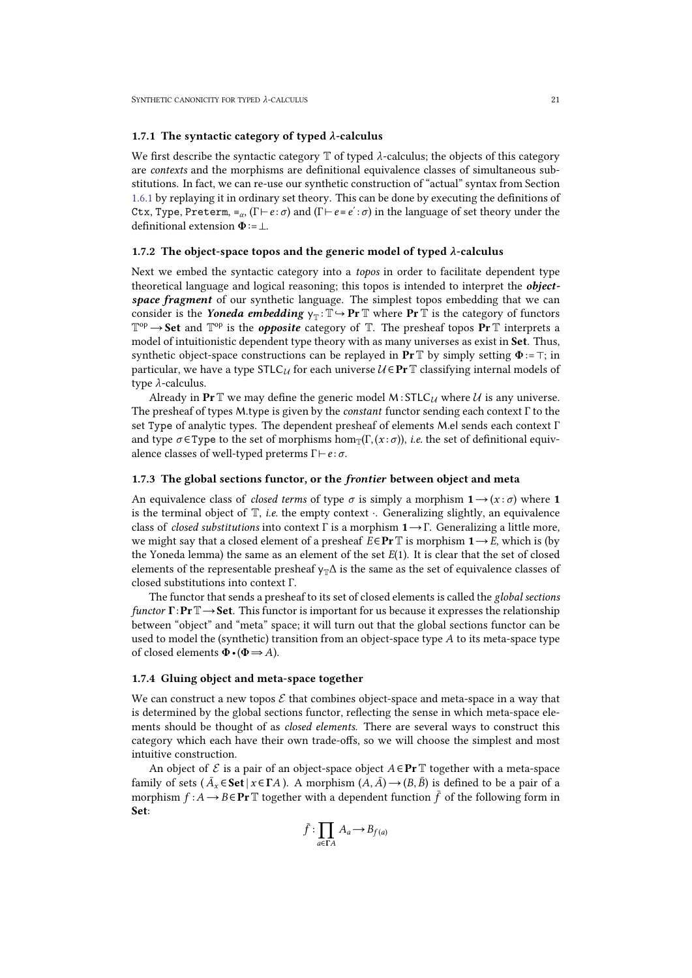### <span id="page-20-0"></span>1.7.1 The syntactic category of typed *λ*-calculus

We first describe the syntactic category  $\mathbb T$  of typed  $\lambda$ -calculus; the objects of this category are *contexts* and the morphisms are definitional equivalence classes of simultaneous sub stitutions. In fact, we can re-use our synthetic construction of "actual" syntax from Section [1.6.1](#page-16-2) by replaying it in ordinary settheory. This can be done by executing the definitions of Ctx, Type, Preterm,  $\equiv_{\alpha} (\Gamma \vdash e : \sigma)$  and  $(\Gamma \vdash e \equiv e' : \sigma)$  in the language of set theory under the definitional extension  $\Phi$ :=⊥.

#### <span id="page-20-4"></span><span id="page-20-1"></span>1.7.2 The object-space topos and the generic model of typed *λ*-calculus

Next we embed the syntactic category into a *topos* in order to facilitate dependent type theoretical language and logical reasoning; this topos is intended to interpret the *object space fragment* of our synthetic language. The simplest topos embedding that we can consider is the *Yoneda embedding*  $\mathsf{y}_\mathbb{T} \colon \mathbb{T} \hookrightarrow \mathbf{Pr} \mathbb{T}$  where  $\mathbf{Pr} \mathbb{T}$  is the category of functors  $\mathbb{T}^{\mathrm{op}} \to$  Set and  $\mathbb{T}^{\mathrm{op}}$  is the *opposite* category of  $\mathbb{T}.$  The presheaf topos  $\Pr$   $\mathbb T$  interprets a model of intuitionistic dependent type theory with as many universes as exist in Set. Thus, synthetic object-space constructions can be replayed in  $Pr \mathbb{T}$  by simply setting  $\Phi = \top$ ; in particular, we have a type STLC<sub>*U*</sub> for each universe  $U \in \text{Pr} \mathbb{T}$  classifying internal models of type *λ*-calculus.

Already in Pr<sup>T</sup> we may define the generic model <sup>M</sup>: STLC*<sup>U</sup>* where *<sup>U</sup>* is any universe. The presheaf of types <sup>M</sup>.type is given by the *constant* functor sending each context <sup>Γ</sup> to the set Type of analytic types. The dependent presheaf of elements M.el sends each context Γ and type  $\sigma \in \text{Type}$  to the set of morphisms hom $\pi(\Gamma,(x:\sigma))$ , *i.e.* the set of definitional equivalence classes of well-typed preterms Γ⊢*e* :*σ*.

#### <span id="page-20-2"></span>1.7.3 The global sections functor, or the *frontier* between object and meta

An equivalence class of *closed terms* of type  $\sigma$  is simply a morphism  $1 \rightarrow (x : \sigma)$  where 1 is the terminal object of T, *i.e.* the empty context ⋅.Generalizing slightly, an equivalence class of *closed substitutions* into context Γ is a morphism 1→Γ. Generalizing a little more, we might say that a closed element of a presheaf  $E \in \text{Pr} \mathbb{T}$  is morphism  $1 \rightarrow E$ , which is (by the Yoneda lemma) the same as an element of the set *E*(1). It is clear that the set of closed elements of the representable presheaf  $y_T\Delta$  is the same as the set of equivalence classes of closed substitutions into context Γ.

The functor that sends a presheaf to its set of closed elements is called the *global* sections *functor* Γ: **Pr** T → **Set**. This functor is important for us because it expresses the relationship between "object" and "meta" space; it will turn out that the global sections functor can be used to model the (synthetic) transition from an object-space type *A* to its meta-space type of closed elements Φ•(Φ⇒*A*).

### <span id="page-20-3"></span>1.7.4 Gluing object and meta-space together

We can construct a new topos  $\mathcal E$  that combines object-space and meta-space in a way that is determined by the global sections functor, reflecting the sense in which meta-space ele ments should be thought of as *closed elements*. There are several ways to construct this category which each have their own trade-offs, so we will choose the simplest and most intuitive construction.

An object of  $\mathcal E$  is a pair of an object-space object  $A \in \textbf{Pr}$  T together with a meta-space family of sets ( $\bar{A}_x \in \mathbf{Set} \mid x \in \Gamma A$ ). A morphism  $(A, \bar{A}) \rightarrow (B, \bar{B})$  is defined to be a pair of a morphism  $f : A \to B \in \mathbf{Pr} \mathbb{T}$  together with a dependent function  $\bar{f}$  of the following form in Set:

$$
\bar{f} : \prod_{a \in \Gamma A} A_a \to B_{f(a)}
$$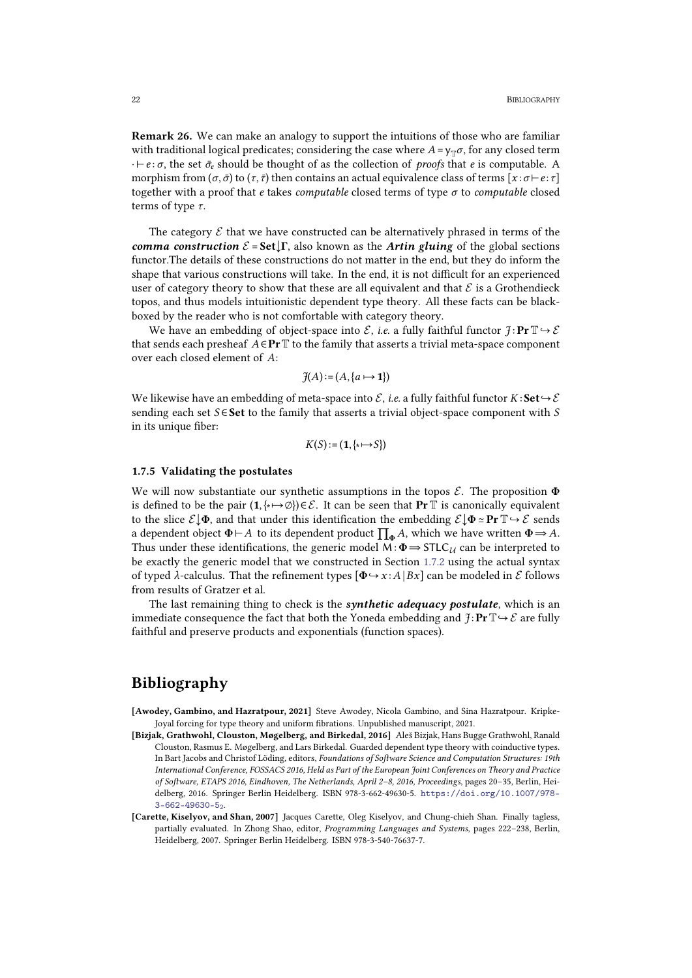Remark 26. We can make an analogy to support the intuitions of those who are familiar with traditional logical predicates; considering the case where  $A = y<sub>T</sub> \sigma$ , for any closed term  $·$ *⊦e* : *σ*, the set  $\bar{\sigma}_e$  should be thought of as the collection of *proofs* that *e* is computable. A morphism from ( $\sigma$ , $\bar{\sigma}$ ) to ( $\tau$ , $\bar{\tau}$ ) then contains an actual equivalence class of terms [ $x : \sigma \vdash e : \tau$ ] together with a proof that *e* takes *computable* closed terms of type *σ* to *computable* closed terms of type *τ*.

The category  $\mathcal E$  that we have constructed can be alternatively phrased in terms of the *comma construction*  $\mathcal{E} = \mathbf{Set} \downarrow \Gamma$ , also known as the *Artin* gluing of the global sections functor.The details of these constructions do not matter in the end, but they do inform the shape that various constructions will take. In the end, it is not difficult for an experienced user of category theory to show that these are all equivalent and that  $\mathcal E$  is a Grothendieck topos, and thus models intuitionistic dependent type theory. All these facts can be black boxed by the reader who is not comfortable with category theory.

We have an embedding of object-space into  $\mathcal{E}$ , *i.e.* a fully faithful functor  $\mathcal{F}$ :  $\mathbb{P}r \mathbb{T} \hookrightarrow \mathcal{E}$ that sends each presheaf  $A \in \text{Pr} \mathbb{T}$  to the family that asserts a trivial meta-space component over each closed element of *A*:

$$
\mathfrak{Z}(A) := (A, \{a \mapsto \mathbf{1}\})
$$

We likewise have an embedding of meta-space into  $\mathcal{E}$ , *i.e.* a fully faithful functor  $K:$  **Set**  $\hookrightarrow$   $\mathcal{E}$ sending each set *S* ∈ Set to the family that asserts a trivial object-space component with *S* in its unique fiber:

$$
K(S) := (\mathbf{1}, \{ \star \mapsto S \})
$$

### <span id="page-21-0"></span>1.7.5 Validating the postulates

We will now substantiate our synthetic assumptions in the topos *E*. The proposition Φ is defined to be the pair  $(1, \{*\rightarrow\emptyset\}) \in \mathcal{E}$ . It can be seen that **Pr**  $\mathbb{T}$  is canonically equivalent to the slice  $\mathcal{E} \downarrow \Phi$ , and that under this identification the embedding  $\mathcal{E} \downarrow \Phi \simeq \mathbf{Pr} \mathbb{T} \hookrightarrow \mathcal{E$ a dependent object  $\Phi \vdash A$  to its dependent product  $\prod_{\Phi} A$ , which we have written  $\Phi \Rightarrow A$ .<br>Thus under these identifications, the generic model  $M : \Phi \Rightarrow \text{STLC}_{\mathcal{U}}$  can be interpreted to be exactly the generic model that we constructed in Section [1.7.2](#page-20-4) using the actual syntax of typed *λ*-calculus. That the refinement types  $[\Phi \rightarrow x : A | Bx]$  can be modeled in *E* follows from results of Gratzer et al.

The last remaining thing to check is the *synthetic adequacy postulate*, which is an immediate consequence the fact that both the Yoneda embedding and  $\mathcal{I}: \mathbf{Pr} \mathbb{T} \rightarrow \mathcal{E}$  are fully faithful and preserve products and exponentials (function spaces).

# <span id="page-21-1"></span>Bibliography

- [Awodey, Gambino, and Hazratpour, 2021] Steve Awodey, Nicola Gambino, and Sina Hazratpour. Kripke-Joyal forcing for type theory and uniform fibrations. Unpublished manuscript, 2021.
- <span id="page-21-3"></span>[Bizjak, Grathwohl, Clouston, Møgelberg, and Birkedal, 2016] Aleš Bizjak, Hans Bugge Grathwohl, Ranald Clouston, Rasmus E. Møgelberg, and Lars Birkedal. Guarded dependent type theory with coinductive types. In Bart Jacobs and Christof Löding, editors, *Foundations of Soſtware Science and Computation Structures: 19th International Conference, FOSSACS 2016, Held as Part of the European Joint Conferences on Theory and Practice of Soſtware, ETAPS 2016, Eindhoven, The Netherlands, April 2–8, 2016, Proceedings*, pages 20–35, Berlin, Hei delberg, 2016. Springer Berlin Heidelberg. ISBN 978-3-662-49630-5. https://doi.org/10.1007/978- 3-662-49630-52.
- <span id="page-21-2"></span>[Carette, Kiselyov, and Shan, 2007] Jacques Carette, Oleg Kiselyov, and Chung-chieh Shan. Finally tagless, partially evaluated. In Zhong Shao, editor, *Programming Languages and Systems*, pages 222–238, Berlin, Heidelberg, 2007. Springer Berlin Heidelberg. ISBN 978-3-540-76637-7.